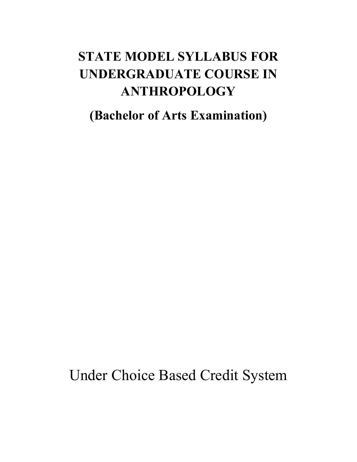# **STATE MODEL SYLLABUS FOR UNDERGRADUATE COURSE IN ANTHROPOLOGY**

**(Bachelor of Arts Examination)** 

Under Choice Based Credit System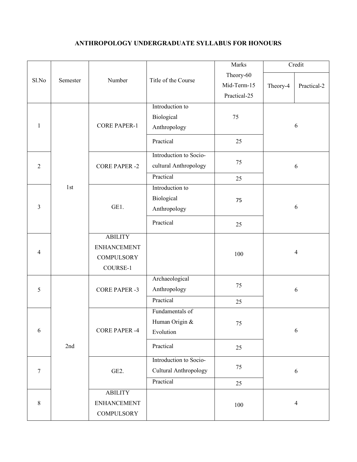# **ANTHROPOLOGY UNDERGRADUATE SYLLABUS FOR HONOURS**

|                |          |                      |                        | Marks        |                | Credit          |  |  |  |
|----------------|----------|----------------------|------------------------|--------------|----------------|-----------------|--|--|--|
| Sl.No          | Semester | Number               | Title of the Course    | Theory-60    |                |                 |  |  |  |
|                |          |                      |                        | Mid-Term-15  | Theory-4       | Practical-2     |  |  |  |
|                |          |                      |                        | Practical-25 |                |                 |  |  |  |
|                |          |                      | Introduction to        |              |                |                 |  |  |  |
|                |          | <b>CORE PAPER-1</b>  | Biological             | 75           | 6              |                 |  |  |  |
| $\mathbf{1}$   |          |                      | Anthropology           |              |                |                 |  |  |  |
|                |          |                      | Practical              | 25           |                |                 |  |  |  |
|                |          |                      | Introduction to Socio- |              | 6              |                 |  |  |  |
| $\overline{2}$ |          | <b>CORE PAPER -2</b> | cultural Anthropology  | 75           |                |                 |  |  |  |
|                |          |                      | Practical              | 25           |                |                 |  |  |  |
|                | 1st      |                      | Introduction to        |              |                |                 |  |  |  |
|                |          |                      | Biological             | 75           |                |                 |  |  |  |
| 3              |          | GE1.                 | Anthropology           |              |                | 6               |  |  |  |
|                |          |                      | Practical              | 25           |                |                 |  |  |  |
|                |          | <b>ABILITY</b>       |                        |              |                |                 |  |  |  |
| 4              |          | <b>ENHANCEMENT</b>   |                        |              | $\overline{4}$ |                 |  |  |  |
|                |          | <b>COMPULSORY</b>    |                        | 100          |                |                 |  |  |  |
|                |          | COURSE-1             |                        |              |                |                 |  |  |  |
|                |          |                      | Archaeological         | 75           |                |                 |  |  |  |
| 5              |          | <b>CORE PAPER -3</b> | Anthropology           |              | 6              |                 |  |  |  |
|                |          |                      | Practical              | 25           |                |                 |  |  |  |
|                | 2nd      |                      |                        |              |                | Fundamentals of |  |  |  |
|                |          | <b>CORE PAPER -4</b> | Human Origin &         | 75           |                |                 |  |  |  |
| 6              |          |                      | Evolution              |              |                | 6               |  |  |  |
|                |          |                      | Practical              | 25           |                |                 |  |  |  |
| $\tau$         |          | GE <sub>2</sub> .    | Introduction to Socio- | 75           |                |                 |  |  |  |
|                |          |                      | Cultural Anthropology  |              | $\sqrt{6}$     |                 |  |  |  |
|                |          |                      | Practical              | 25           |                |                 |  |  |  |
|                |          | <b>ABILITY</b>       |                        |              |                |                 |  |  |  |
| 8              |          | <b>ENHANCEMENT</b>   |                        | 100          |                | $\overline{4}$  |  |  |  |
|                |          | <b>COMPULSORY</b>    |                        |              |                |                 |  |  |  |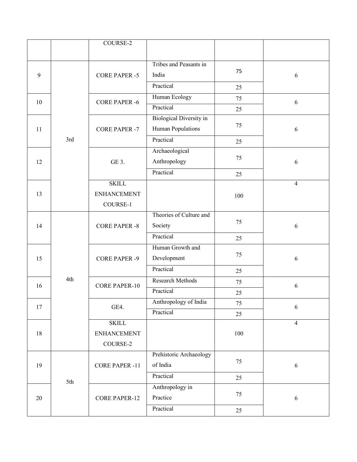|    |     | COURSE-2              |                                    |         |                |
|----|-----|-----------------------|------------------------------------|---------|----------------|
|    |     |                       |                                    |         |                |
|    |     |                       | Tribes and Peasants in             |         |                |
| 9  |     | <b>CORE PAPER -5</b>  | India                              | 75      | 6              |
|    |     |                       | Practical                          | 25      |                |
| 10 |     | <b>CORE PAPER -6</b>  | Human Ecology                      | 75      | 6              |
|    |     |                       | Practical                          | 25      |                |
|    |     |                       | <b>Biological Diversity in</b>     | 75      |                |
| 11 |     | <b>CORE PAPER -7</b>  | Human Populations                  |         | 6              |
|    | 3rd |                       | Practical                          | 25      |                |
|    |     |                       | Archaeological                     | 75      |                |
| 12 |     | GE 3.                 | Anthropology                       |         | 6              |
|    |     |                       | Practical                          | 25      |                |
|    |     | <b>SKILL</b>          |                                    |         | $\overline{4}$ |
| 13 |     | <b>ENHANCEMENT</b>    |                                    | 100     |                |
|    |     | COURSE-1              |                                    |         |                |
|    |     | <b>CORE PAPER -8</b>  | Theories of Culture and            | 75      |                |
| 14 |     |                       | Society                            |         | 6              |
|    |     |                       | Practical                          | 25      |                |
|    |     | <b>CORE PAPER -9</b>  | Human Growth and                   | 75      |                |
| 15 |     |                       | Development<br>Practical           |         | 6              |
|    | 4th |                       |                                    | 25      |                |
| 16 |     | <b>CORE PAPER-10</b>  | <b>Research Methods</b>            | 75      | 6              |
|    |     |                       | Practical<br>Anthropology of India | 25      |                |
| 17 |     | GE4.                  | Practical                          | 75      | 6              |
|    |     | <b>SKILL</b>          |                                    | 25      | $\overline{4}$ |
| 18 |     | <b>ENHANCEMENT</b>    |                                    | $100\,$ |                |
|    |     | COURSE-2              |                                    |         |                |
|    |     |                       | Prehistoric Archaeology            |         |                |
| 19 |     | <b>CORE PAPER -11</b> | of India                           | 75      | $\sqrt{6}$     |
|    |     |                       | Practical                          | 25      |                |
|    | 5th | <b>CORE PAPER-12</b>  | Anthropology in                    |         |                |
| 20 |     |                       | Practice                           | 75      | $\sqrt{6}$     |
|    |     |                       | Practical                          | 25      |                |
|    |     |                       |                                    |         |                |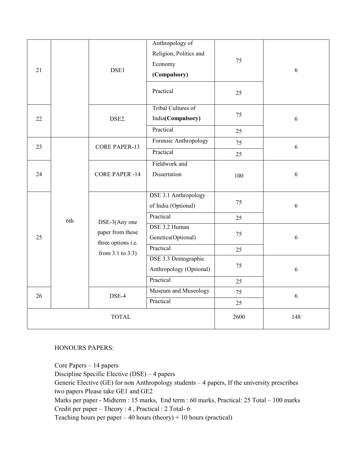| 21           |     | DSE1                                                                             | Anthropology of<br>Religion, Politics and<br>Economy<br>(Compulsory)<br>Practical | 75<br>25 | 6 |
|--------------|-----|----------------------------------------------------------------------------------|-----------------------------------------------------------------------------------|----------|---|
| 22           |     | DSE2.                                                                            | Tribal Cultures of<br>India(Compulsory)<br>Practical                              | 75       | 6 |
|              |     |                                                                                  | Forensic Anthropology                                                             | 25       |   |
| 23           |     | <b>CORE PAPER-13</b>                                                             |                                                                                   | 75       | 6 |
|              |     |                                                                                  | Practical                                                                         | 25       |   |
| 24           |     | <b>CORE PAPER -14</b>                                                            | Fieldwork and<br>Dissertation                                                     | 100      | 6 |
|              | 6th | DSE-3(Any one<br>paper from these<br>three options i.e.<br>from $3.1$ to $3.3$ ) | DSE 3.1 Anthropology<br>of India (Optional)                                       | 75       | 6 |
|              |     |                                                                                  | Practical                                                                         | 25       |   |
| 25           |     |                                                                                  | DSE 3.2 Human<br>Genetics(Optional)                                               | 75       | 6 |
|              |     |                                                                                  | Practical                                                                         | 25       |   |
|              |     |                                                                                  | DSE 3.3 Demographic<br>Anthropology (Optional)                                    | 75       | 6 |
|              |     |                                                                                  | Practical                                                                         | 25       |   |
| 26           |     | DSE-4                                                                            | Museum and Museology                                                              | 75       | 6 |
|              |     |                                                                                  | Practical                                                                         | 25       |   |
| <b>TOTAL</b> |     |                                                                                  | 2600                                                                              | 148      |   |

## HONOURS PAPERS:

Core Papers – 14 papers Discipline Specific Elective (DSE) – 4 papers Generic Elective (GE) for non Anthropology students – 4 papers, If the university prescribes two papers Please take GE1 and GE2 Marks per paper - Midterm : 15 marks, End term : 60 marks, Practical: 25 Total – 100 marks Credit per paper – Theory : 4 , Practical : 2 Total- 6 Teaching hours per paper – 40 hours (theory) + 10 hours (practical)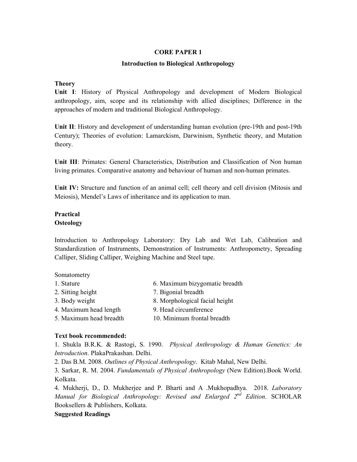#### **CORE PAPER 1**

#### **Introduction to Biological Anthropology**

#### **Theory**

**Unit I**: History of Physical Anthropology and development of Modern Biological anthropology, aim, scope and its relationship with allied disciplines; Difference in the approaches of modern and traditional Biological Anthropology.

**Unit II**: History and development of understanding human evolution (pre-19th and post-19th Century); Theories of evolution: Lamarckism, Darwinism, Synthetic theory, and Mutation theory.

**Unit III**: Primates: General Characteristics, Distribution and Classification of Non human living primates. Comparative anatomy and behaviour of human and non-human primates.

**Unit IV:** Structure and function of an animal cell; cell theory and cell division (Mitosis and Meiosis), Mendel's Laws of inheritance and its application to man.

## **Practical Osteology**

Introduction to Anthropology Laboratory: Dry Lab and Wet Lab, Calibration and Standardization of Instruments, Demonstration of Instruments: Anthropometry, Spreading Calliper, Sliding Calliper, Weighing Machine and Steel tape.

#### Somatometry

- 1. Stature 6. Maximum bizygomatic breadth
- 2. Sitting height 7. Bigonial breadth
- 3. Body weight 8. Morphological facial height
- 4. Maximum head length 9. Head circumference
- 5. Maximum head breadth 10. Minimum frontal breadth

#### **Text book recommended:**

1. Shukla B.R.K. & Rastogi, S. 1990. *Physical Anthropology & Human Genetics: An Introduction*. PlakaPrakashan. Delhi.

2. Das B.M. 2008. *Outlines of Physical Anthropology*. Kitab Mahal, New Delhi.

3. Sarkar, R. M. 2004. *Fundamentals of Physical Anthropology* (New Edition).Book World. Kolkata.

4. Mukherji, D., D. Mukherjee and P. Bharti and A .Mukhopadhya. 2018. *Laboratory Manual for Biological Anthropology: Revised and Enlarged 2nd Edition*. SCHOLAR Booksellers & Publishers, Kolkata.

## **Suggested Readings**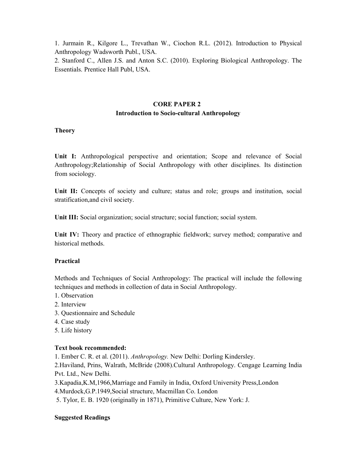1. Jurmain R., Kilgore L., Trevathan W., Ciochon R.L. (2012). Introduction to Physical Anthropology Wadsworth Publ., USA.

2. Stanford C., Allen J.S. and Anton S.C. (2010). Exploring Biological Anthropology. The Essentials. Prentice Hall Publ, USA.

## **CORE PAPER 2 Introduction to Socio-cultural Anthropology**

## **Theory**

**Unit I:** Anthropological perspective and orientation; Scope and relevance of Social Anthropology;Relationship of Social Anthropology with other disciplines. Its distinction from sociology.

Unit II: Concepts of society and culture; status and role; groups and institution, social stratification,and civil society.

**Unit III:** Social organization; social structure; social function; social system.

**Unit IV:** Theory and practice of ethnographic fieldwork; survey method; comparative and historical methods.

# **Practical**

Methods and Techniques of Social Anthropology: The practical will include the following techniques and methods in collection of data in Social Anthropology.

- 1. Observation
- 2. Interview
- 3. Questionnaire and Schedule
- 4. Case study
- 5. Life history

## **Text book recommended:**

1. Ember C. R. et al. (2011). *Anthropology.* New Delhi: Dorling Kindersley.

2.Haviland, Prins, Walrath, McBride (2008).Cultural Anthropology. Cengage Learning India Pvt. Ltd., New Delhi.

3.Kapadia,K.M,1966,Marriage and Family in India, Oxford University Press,London 4.Murdock,G.P.1949,Social structure, Macmillan Co. London

5. Tylor, E. B. 1920 (originally in 1871), Primitive Culture, New York: J.

## **Suggested Readings**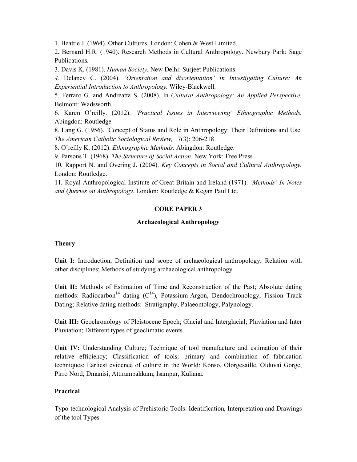1. Beattie J. (1964). Other Cultures. London: Cohen & West Limited.

2. Bernard H.R. (1940). Research Methods in Cultural Anthropology. Newbury Park: Sage Publications.

3. Davis K. (1981). *Human Society.* New Delhi: Surjeet Publications.

*4.* Delaney C. (2004). *'Orientation and disorientation' In Investigating Culture: An Experiential Introduction to Anthropology.* Wiley-Blackwell.

5. Ferraro G. and Andreatta S. (2008). In *Cultural Anthropology: An Applied Perspective.*  Belmont: Wadsworth.

6*.* Karen O'reilly. (2012). *'Practical Issues in Interviewing' Ethnographic Methods.*  Abingdon: Routledge

8. Lang G. (1956). 'Concept of Status and Role in Anthropology: Their Definitions and Use. *The American Catholic Sociological Review,* 17(3): 206-218

8. O'reilly K. (2012). *Ethnographic Methods.* Abingdon: Routledge.

9. Parsons T. (1968). *The Structure of Social Action*. New York: Free Press

10*.* Rapport N. and Overing J. (2004). *Key Concepts in Social and Cultural Anthropology.*  London: Routledge.

11*.* Royal Anthropological Institute of Great Britain and Ireland (1971). *'Methods' In Notes and Queries on Anthropology*. London: Routledge & Kegan Paul Ltd.

#### **CORE PAPER 3**

#### **Archaeological Anthropology**

#### **Theory**

**Unit I:** Introduction, Definition and scope of archaeological anthropology; Relation with other disciplines; Methods of studying archaeological anthropology.

**Unit II:** Methods of Estimation of Time and Reconstruction of the Past; Absolute dating methods: Radiocarbon<sup>14</sup> dating  $(C^{14})$ , Potassium-Argon, Dendochronology, Fission Track Dating; Relative dating methods: Stratigraphy, Palaeontology, Palynology.

**Unit III:** Geochronology of Pleistocene Epoch; Glacial and Interglacial; Pluviation and Inter Pluviation; Different types of geoclimatic events.

**Unit IV:** Understanding Culture; Technique of tool manufacture and estimation of their relative efficiency; Classification of tools: primary and combination of fabrication techniques; Earliest evidence of culture in the World: Konso, Olorgesaille, Olduvai Gorge, Pirro Nord, Dmanisi, Attirampakkam, Isampur, Kuliana.

#### **Practical**

Typo-technological Analysis of Prehistoric Tools: Identification, Interpretation and Drawings of the tool Types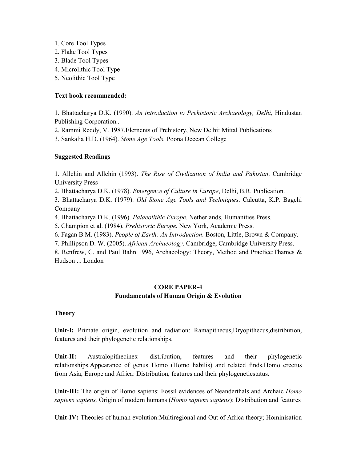- 1. Core Tool Types
- 2. Flake Tool Types
- 3. Blade Tool Types
- 4. Microlithic Tool Type
- 5. Neolithic Tool Type

# **Text book recommended:**

1. Bhattacharya D.K. (1990). *An introduction to Prehistoric Archaeology, Delhi,* Hindustan Publishing Corporation..

2. Rammi Reddy, V. 1987.Elernents of Prehistory, New Delhi: Mittal Publications

3. Sankalia H.D. (1964). *Stone Age Tools.* Poona Deccan College

# **Suggested Readings**

1. Allchin and Allchin (1993). *The Rise of Civilization of India and Pakistan*. Cambridge University Press

2. Bhattacharya D.K. (1978). *Emergence of Culture in Europe*, Delhi, B.R. Publication.

3. Bhattacharya D.K. (1979). *Old Stone Age Tools and Techniques*. Calcutta, K.P. Bagchi Company

4. Bhattacharya D.K. (1996). *Palaeolithic Europe*. Netherlands, Humanities Press.

5. Champion et al. (1984). *Prehistoric Europe.* New York, Academic Press.

6. Fagan B.M. (1983). *People of Earth: An Introduction*. Boston, Little, Brown & Company.

7. Phillipson D. W. (2005). *African Archaeology*. Cambridge, Cambridge University Press.

8. Renfrew, C. and Paul Bahn 1996, Archaeology: Theory, Method and Practice:Thames & Hudson ... London

# **CORE PAPER-4 Fundamentals of Human Origin & Evolution**

# **Theory**

Unit-I: Primate origin, evolution and radiation: Ramapithecus,Dryopithecus,distribution, features and their phylogenetic relationships.

**Unit-II:** Australopithecines: distribution, features and their phylogenetic relationships.Appearance of genus Homo (Homo habilis) and related finds.Homo erectus from Asia, Europe and Africa: Distribution, features and their phylogeneticstatus.

**Unit-III:** The origin of Homo sapiens: Fossil evidences of Neanderthals and Archaic *Homo sapiens sapiens,* Origin of modern humans (*Homo sapiens sapiens*): Distribution and features

**Unit-IV:** Theories of human evolution:Multiregional and Out of Africa theory; Hominisation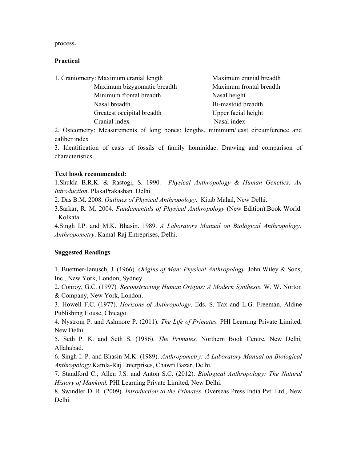process**.** 

#### **Practical**

| 1. Craniometry: Maximum cranial length | Maximum cranial breadth |
|----------------------------------------|-------------------------|
| Maximum bizygomatic breadth            | Maximum frontal breadth |
| Minimum frontal breadth                | Nasal height            |
| Nasal breadth                          | Bi-mastoid breadth      |
| Greatest occipital breadth             | Upper facial height     |
| Cranial index                          | Nasal index             |

2. Osteometry: Measurements of long bones: lengths, minimum/least circumference and caliber index

3. Identification of casts of fossils of family hominidae: Drawing and comparison of characteristics.

#### **Text book recommended:**

1.Shukla B.R.K. & Rastogi, S. 1990. *Physical Anthropology & Human Genetics: An Introduction*. PlakaPrakashan. Delhi.

2. Das B.M. 2008. *Outlines of Physical Anthropology*. Kitab Mahal, New Delhi.

3.Sarkar, R. M. 2004. *Fundamentals of Physical Anthropology* (New Edition).Book World. Kolkata.

4.Singh I.P. and M.K. Bhasin. 1989. *A Laboratory Manual on Biological Anthropology: Anthropometry*. Kamal-Raj Entreprises, Delhi.

#### **Suggested Readings**

1. Buettner-Janusch, J. (1966). *Origins of Man: Physical Anthropology*. John Wiley & Sons, Inc., New York, London, Sydney.

2. Conroy, G.C. (1997)*. Reconstructing Human Origins: A Modern Synthesis*. W. W. Norton & Company, New York, London.

3. Howell F.C. (1977). *Horizons of Anthropology*. Eds. S. Tax and L.G. Freeman, Aldine Publishing House, Chicago.

4. Nystrom P. and Ashmore P. (2011). *The Life of Primates*. PHI Learning Private Limited, New Delhi.

5. Seth P. K. and Seth S. (1986). *The Primates.* Northern Book Centre, New Delhi, Allahabad.

6. Singh I. P. and Bhasin M.K. (1989). *Anthropometry: A Laboratory Manual on Biological Anthropology.*Kamla-Raj Enterprises, Chawri Bazar, Delhi.

7. Standford C.; Allen J.S. and Anton S.C. (2012). *Biological Anthropology: The Natural History of Mankind.* PHI Learning Private Limited, New Delhi.

8. Swindler D. R. (2009). *Introduction to the Primates*. Overseas Press India Pvt. Ltd., New Delhi.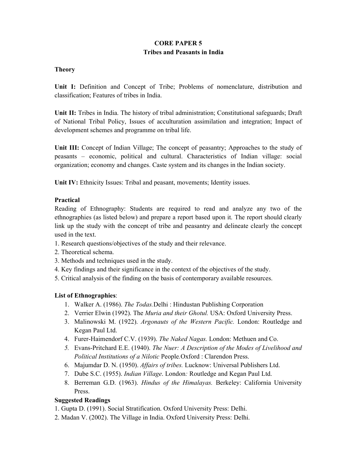## **CORE PAPER 5 Tribes and Peasants in India**

## **Theory**

**Unit I:** Definition and Concept of Tribe; Problems of nomenclature, distribution and classification; Features of tribes in India.

**Unit II:** Tribes in India. The history of tribal administration; Constitutional safeguards; Draft of National Tribal Policy, Issues of acculturation assimilation and integration; Impact of development schemes and programme on tribal life.

**Unit III:** Concept of Indian Village; The concept of peasantry; Approaches to the study of peasants – economic, political and cultural. Characteristics of Indian village: social organization; economy and changes. Caste system and its changes in the Indian society.

Unit IV: Ethnicity Issues: Tribal and peasant, movements; Identity issues.

## **Practical**

Reading of Ethnography: Students are required to read and analyze any two of the ethnographies (as listed below) and prepare a report based upon it. The report should clearly link up the study with the concept of tribe and peasantry and delineate clearly the concept used in the text.

- 1. Research questions/objectives of the study and their relevance.
- 2. Theoretical schema.
- 3. Methods and techniques used in the study.
- 4. Key findings and their significance in the context of the objectives of the study.
- 5. Critical analysis of the finding on the basis of contemporary available resources.

## **List of Ethnographies**:

- 1. Walker A. (1986). *The Todas.*Delhi : Hindustan Publishing Corporation
- 2. Verrier Elwin (1992). The *Muria and their Ghotul.* USA: Oxford University Press.
- 3. Malinowski M. (1922). *Argonauts of the Western Pacific.* London: Routledge and Kegan Paul Ltd.
- 4. Furer-Haimendorf C.V. (1939). *The Naked Nagas.* London: Methuen and Co.
- *5.* Evans-Pritchard E.E. (1940). *The Nuer: A Description of the Modes of Livelihood and Political Institutions of a Nilotic* People*.*Oxford : Clarendon Press.
- 6. Majumdar D. N. (1950). *Affairs of tribes.* Lucknow: Universal Publishers Ltd.
- 7. Dube S.C. (1955). *Indian Village*. London*:* Routledge and Kegan Paul Ltd.
- 8. Berreman G.D. (1963). *Hindus of the Himalayas.* Berkeley: California University Press.

# **Suggested Readings**

- 1. Gupta D. (1991). Social Stratification. Oxford University Press: Delhi.
- 2. Madan V. (2002). The Village in India. Oxford University Press: Delhi.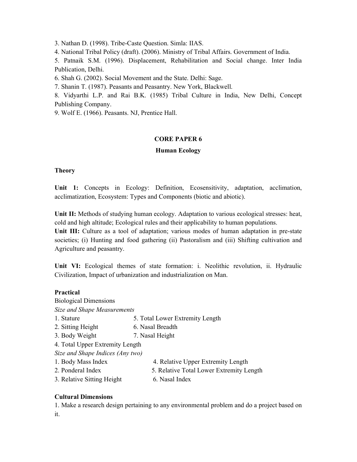3. Nathan D. (1998). Tribe-Caste Question. Simla: IIAS.

4. National Tribal Policy (draft). (2006). Ministry of Tribal Affairs. Government of India.

5. Patnaik S.M. (1996). Displacement, Rehabilitation and Social change. Inter India Publication, Delhi.

6. Shah G. (2002). Social Movement and the State. Delhi: Sage.

7. Shanin T. (1987). Peasants and Peasantry. New York, Blackwell.

8. Vidyarthi L.P. and Rai B.K. (1985) Tribal Culture in India, New Delhi, Concept Publishing Company.

9. Wolf E. (1966). Peasants. NJ, Prentice Hall.

## **CORE PAPER 6**

## **Human Ecology**

#### **Theory**

**Unit 1:** Concepts in Ecology: Definition, Ecosensitivity, adaptation, acclimation, acclimatization, Ecosystem: Types and Components (biotic and abiotic).

**Unit II:** Methods of studying human ecology. Adaptation to various ecological stresses: heat, cold and high altitude; Ecological rules and their applicability to human populations.

**Unit III:** Culture as a tool of adaptation; various modes of human adaptation in pre-state societies; (i) Hunting and food gathering (ii) Pastoralism and (iii) Shifting cultivation and Agriculture and peasantry.

**Unit VI:** Ecological themes of state formation: i. Neolithic revolution, ii. Hydraulic Civilization, Impact of urbanization and industrialization on Man.

#### **Practical**

Biological Dimensions *Size and Shape Measurements*  1. Stature 5. Total Lower Extremity Length 2. Sitting Height 6. Nasal Breadth 3. Body Weight 7. Nasal Height 4. Total Upper Extremity Length *Size and Shape Indices (Any two)*  1. Body Mass Index 4. Relative Upper Extremity Length 2. Ponderal Index 5. Relative Total Lower Extremity Length

3. Relative Sitting Height 6. Nasal Index

## **Cultural Dimensions**

1. Make a research design pertaining to any environmental problem and do a project based on it.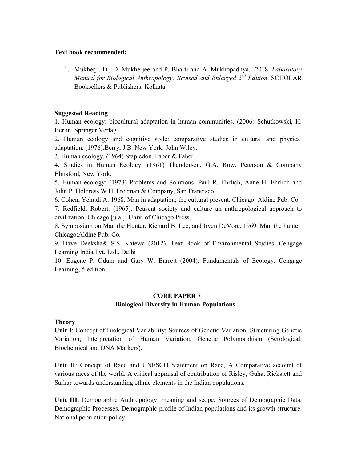#### **Text book recommended:**

1. Mukherji, D., D. Mukherjee and P. Bharti and A .Mukhopadhya. 2018. *Laboratory Manual for Biological Anthropology: Revised and Enlarged 2nd Edition*. SCHOLAR Booksellers & Publishers, Kolkata.

#### **Suggested Reading**

1. Human ecology: biocultural adaptation in human communities. (2006) Schutkowski, H. Berlin. Springer Verlag.

2. Human ecology and cognitive style: comparative studies in cultural and physical adaptation. (1976).Berry, J.B. New York: John Wiley.

3. Human ecology. (1964) Stapledon. Faber & Faber.

4. Studies in Human Ecology. (1961) Theodorson, G.A. Row, Peterson & Company Elmsford, New York.

5. Human ecology: (1973) Problems and Solutions. Paul R. Ehrlich, Anne H. Ehrlich and John P. Holdress.W.H. Freeman & Company, San Francisco.

6. Cohen, Yehudi A. 1968. Man in adaptation; the cultural present. Chicago: Aldine Pub. Co.

7. Redfield, Robert. (1965). Peasent society and culture an anthropological approach to civilization. Chicago [u.a.]: Univ. of Chicago Press.

8. Symposium on Man the Hunter, Richard B. Lee, and Irven DeVore. 1969. Man the hunter. Chicago:Aldine Pub. Co.

9. Dave Deeksha& S.S. Katewa (2012). Text Book of Environmental Studies. Cengage Learning India Pvt. Ltd., Delhi

10. Eugene P. Odum and Gary W. Barrett (2004). Fundamentals of Ecology. Cengage Learning; 5 edition.

# **CORE PAPER 7 Biological Diversity in Human Populations**

## **Theory**

**Unit I**: Concept of Biological Variability; Sources of Genetic Variation; Structuring Genetic Variation; Interpretation of Human Variation, Genetic Polymorphism (Serological, Biochemical and DNA Markers).

**Unit II**: Concept of Race and UNESCO Statement on Race, A Comparative account of various races of the world. A critical appraisal of contribution of Risley, Guha, Rickstett and Sarkar towards understanding ethnic elements in the Indian populations.

**Unit III**: Demographic Anthropology: meaning and scope, Sources of Demographic Data, Demographic Processes, Demographic profile of Indian populations and its growth structure. National population policy.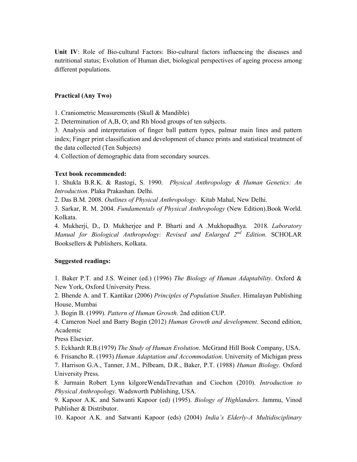**Unit IV**: Role of Bio-cultural Factors: Bio-cultural factors influencing the diseases and nutritional status; Evolution of Human diet, biological perspectives of ageing process among different populations.

#### **Practical (Any Two)**

1. Craniometric Measurements (Skull & Mandible)

2. Determination of A,B, O; and Rh blood groups of ten subjects.

3. Analysis and interpretation of finger ball pattern types, palmar main lines and pattern index; Finger print classification and development of chance prints and statistical treatment of the data collected (Ten Subjects)

4. Collection of demographic data from secondary sources.

#### **Text book recommended:**

1. Shukla B.R.K. & Rastogi, S. 1990. *Physical Anthropology & Human Genetics: An Introduction*. Plaka Prakashan. Delhi.

2. Das B.M. 2008. *Outlines of Physical Anthropology*. Kitab Mahal, New Delhi.

3. Sarkar, R. M. 2004. *Fundamentals of Physical Anthropology* (New Edition).Book World. Kolkata.

4. Mukherji, D., D. Mukherjee and P. Bharti and A .Mukhopadhya. 2018. *Laboratory Manual for Biological Anthropology: Revised and Enlarged 2nd Edition*. SCHOLAR Booksellers & Publishers, Kolkata.

#### **Suggested readings:**

1. Baker P.T. and J.S. Weiner (ed.) (1996) *The Biology of Human Adaptability*. Oxford & New York, Oxford University Press.

2. Bhende A. and T. Kantikar (2006) *Principles of Population Studies*. Himalayan Publishing House, Mumbai

3. Bogin B. (1999). *Pattern of Human Growth*. 2nd edition CUP.

4. Cameron Noel and Barry Bogin (2012) *Human Growth and development*. Second edition, Academic

Press Elsevier.

5. Eckhardt R.B.(1979) *The Study of Human Evolution*. McGrand Hill Book Company, USA.

6. Frisancho R. (1993) *Human Adaptation and Accommodation*. University of Michigan press

7. Harrison G.A., Tanner, J.M., Pilbeam, D.R., Baker, P.T. (1988) *Human Biology*. Oxford University Press.

8. Jurmain Robert Lynn kilgoreWendaTrevathan and Ciochon (2010). *Introduction to Physical Anthropology*. Wadsworth Publishing, USA.

9. Kapoor A.K. and Satwanti Kapoor (ed) (1995). *Biology of Highlanders*. Jammu, Vinod Publisher & Distributor.

10. Kapoor A.K. and Satwanti Kapoor (eds) (2004) *India's Elderly-A Multidisciplinary*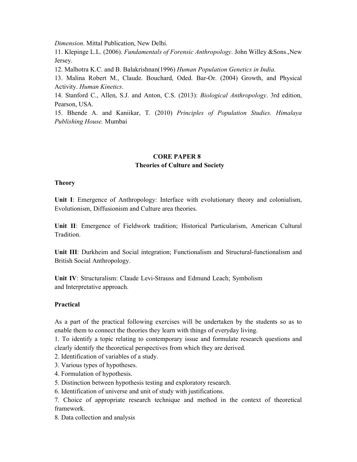*Dimension*. Mittal Publication, New Delhi.

11. Klepinge L.L. (2006). *Fundamentals of Forensic Anthropology*. John Willey &Sons.,New Jersey.

12. Malhotra K.C. and B. Balakrishnan(1996) *Human Population Genetics in India.* 

13. Malina Robert M., Claude. Bouchard, Oded. Bar-Or. (2004) Growth, and Physical Activity. *Human Kinetics*.

14. Stanford C., Allen, S.J. and Anton, C.S. (2013): *Biological Anthropology*. 3rd edition, Pearson, USA.

15. Bhende A. and Kaniikar, T. (2010) *Principles of Population Studies. Himalaya Publishing House.* Mumbai

## **CORE PAPER 8 Theories of Culture and Society**

## **Theory**

**Unit I**: Emergence of Anthropology: Interface with evolutionary theory and colonialism, Evolutionism, Diffusionism and Culture area theories.

**Unit II**: Emergence of Fieldwork tradition; Historical Particularism, American Cultural Tradition.

**Unit III**: Durkheim and Social integration; Functionalism and Structural-functionalism and British Social Anthropology.

**Unit IV**: Structuralism: Claude Levi-Strauss and Edmund Leach; Symbolism and Interpretative approach.

## **Practical**

As a part of the practical following exercises will be undertaken by the students so as to enable them to connect the theories they learn with things of everyday living.

1. To identify a topic relating to contemporary issue and formulate research questions and clearly identify the theoretical perspectives from which they are derived.

- 2. Identification of variables of a study.
- 3. Various types of hypotheses.
- 4. Formulation of hypothesis.
- 5. Distinction between hypothesis testing and exploratory research.
- 6. Identification of universe and unit of study with justifications.

7. Choice of appropriate research technique and method in the context of theoretical framework.

8. Data collection and analysis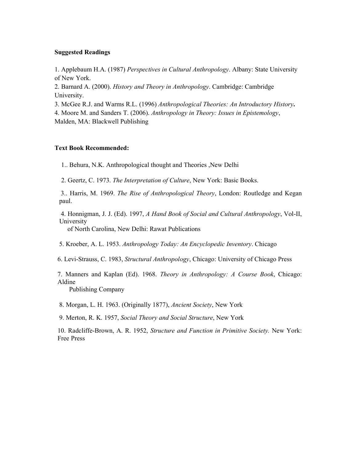#### **Suggested Readings**

1. Applebaum H.A. (1987) *Perspectives in Cultural Anthropology*. Albany: State University of New York.

2. Barnard A. (2000). *History and Theory in Anthropology*. Cambridge: Cambridge University.

3. McGee R.J. and Warms R.L. (1996) *Anthropological Theories: An Introductory History***.** 

4. Moore M. and Sanders T. (2006). *Anthropology in Theory: Issues in Epistemology*, Malden, MA: Blackwell Publishing

#### **Text Book Recommended:**

1.. Behura, N.K. Anthropological thought and Theories ,New Delhi

2. Geertz, C. 1973. *The Interpretation of Culture*, New York: Basic Books.

 3.. Harris, M. 1969. *The Rise of Anthropological Theory*, London: Routledge and Kegan paul.

 4. Honnigman, J. J. (Ed). 1997, *A Hand Book of Social and Cultural Anthropology*, Vol-II, University

of North Carolina, New Delhi: Rawat Publications

5. Kroeber, A. L. 1953. *Anthropology Today: An Encyclopedic Inventory*. Chicago

6. Levi-Strauss, C. 1983, *Structural Anthropology*, Chicago: University of Chicago Press

7. Manners and Kaplan (Ed). 1968. *Theory in Anthropology: A Course Book*, Chicago: Aldine

Publishing Company

8. Morgan, L. H. 1963. (Originally 1877), *Ancient Society*, New York

9. Merton, R. K. 1957, *Social Theory and Social Structure*, New York

10. Radcliffe-Brown, A. R. 1952, *Structure and Function in Primitive Society.* New York: Free Press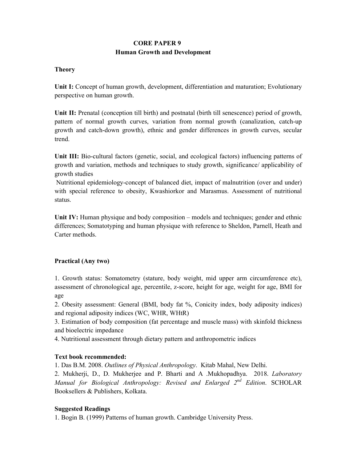# **CORE PAPER 9 Human Growth and Development**

## **Theory**

**Unit I:** Concept of human growth, development, differentiation and maturation; Evolutionary perspective on human growth.

**Unit II:** Prenatal (conception till birth) and postnatal (birth till senescence) period of growth, pattern of normal growth curves, variation from normal growth (canalization, catch-up growth and catch-down growth), ethnic and gender differences in growth curves, secular trend.

**Unit III:** Bio-cultural factors (genetic, social, and ecological factors) influencing patterns of growth and variation, methods and techniques to study growth, significance/ applicability of growth studies

 Nutritional epidemiology-concept of balanced diet, impact of malnutrition (over and under) with special reference to obesity, Kwashiorkor and Marasmus. Assessment of nutritional status.

**Unit IV:** Human physique and body composition – models and techniques; gender and ethnic differences; Somatotyping and human physique with reference to Sheldon, Parnell, Heath and Carter methods.

## **Practical (Any two)**

1. Growth status: Somatometry (stature, body weight, mid upper arm circumference etc), assessment of chronological age, percentile, z-score, height for age, weight for age, BMI for age

2. Obesity assessment: General (BMI, body fat %, Conicity index, body adiposity indices) and regional adiposity indices (WC, WHR, WHtR)

3. Estimation of body composition (fat percentage and muscle mass) with skinfold thickness and bioelectric impedance

4. Nutritional assessment through dietary pattern and anthropometric indices

## **Text book recommended:**

1. Das B.M. 2008. *Outlines of Physical Anthropology*. Kitab Mahal, New Delhi.

2. Mukherji, D., D. Mukherjee and P. Bharti and A .Mukhopadhya. 2018. *Laboratory Manual for Biological Anthropology: Revised and Enlarged 2nd Edition*. SCHOLAR Booksellers & Publishers, Kolkata.

## **Suggested Readings**

1. Bogin B. (1999) Patterns of human growth. Cambridge University Press.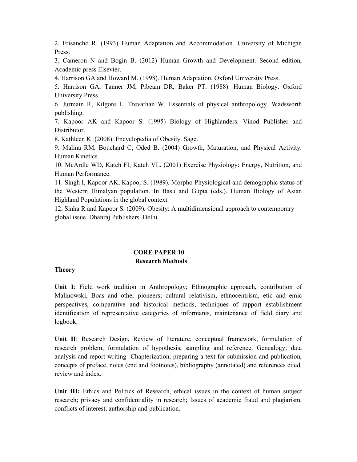2. Frisancho R. (1993) Human Adaptation and Accommodation. University of Michigan Press.

3. Cameron N and Bogin B. (2012) Human Growth and Development. Second edition, Academic press Elsevier.

4. Harrison GA and Howard M. (1998). Human Adaptation. Oxford University Press.

5. Harrison GA, Tanner JM, Pibeam DR, Baker PT. (1988). Human Biology. Oxford University Press.

6. Jurmain R, Kilgore L, Trevathan W. Essentials of physical anthropology. Wadsworth publishing.

7. Kapoor AK and Kapoor S. (1995) Biology of Highlanders. Vinod Publisher and Distributor.

8. Kathleen K. (2008). Encyclopedia of Obesity. Sage.

9. Malina RM, Bouchard C, Oded B. (2004) Growth, Maturation, and Physical Activity. Human Kinetics.

10. McArdle WD, Katch FI, Katch VL. (2001) Exercise Physiology: Energy, Nutrition, and Human Performance.

11. Singh I, Kapoor AK, Kapoor S. (1989). Morpho-Physiological and demographic status of the Western Himalyan population. In Basu and Gupta (eds.). Human Biology of Asian Highland Populations in the global context.

12**.** Sinha R and Kapoor S. (2009). Obesity: A multidimensional approach to contemporary global issue. Dhanraj Publishers. Delhi.

#### **CORE PAPER 10 Research Methods**

#### **Theory**

**Unit I**: Field work tradition in Anthropology; Ethnographic approach, contribution of Malinowski, Boas and other pioneers; cultural relativism, ethnocentrism, etic and emic perspectives, comparative and historical methods, techniques of rapport establishment identification of representative categories of informants, maintenance of field diary and logbook.

**Unit II**: Research Design, Review of literature, conceptual framework, formulation of research problem, formulation of hypothesis, sampling and reference. Genealogy; data analysis and report writing- Chapterization, preparing a text for submission and publication, concepts of preface, notes (end and footnotes), bibliography (annotated) and references cited, review and index.

**Unit III:** Ethics and Politics of Research, ethical issues in the context of human subject research; privacy and confidentiality in research; Issues of academic fraud and plagiarism, conflicts of interest, authorship and publication.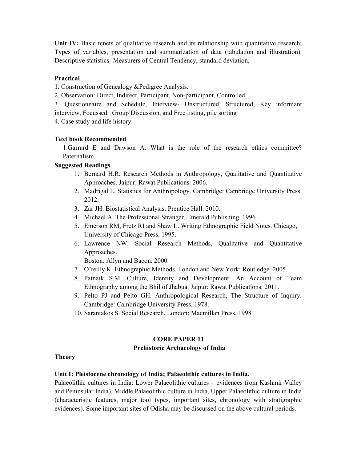Unit IV: Basic tenets of qualitative research and its relationship with quantitative research; Types of variables, presentation and summarization of data (tabulation and illustration). Descriptive statistics- Measurers of Central Tendency, standard deviation,

#### **Practical**

1. Construction of Genealogy &Pedigree Analysis.

2. Observation: Direct, Indirect, Participant, Non-participant, Controlled

3. Questionnaire and Schedule, Interview- Unstructured, Structured, Key informant interview, Focussed Group Discussion, and Free listing, pile sorting

4. Case study and life history.

#### **Text book Recommended**

1.Garrard E and Dawson A. What is the role of the research ethics committee? Paternalism

#### **Suggested Readings**

- 1. Bernard H.R. Research Methods in Anthropology, Qualitative and Quantitative Approaches. Jaipur: Rawat Publications. 2006.
- 2. Madrigal L. Statistics for Anthropology. Cambridge: Cambridge University Press. 2012.
- 3. Zar JH. Biostatistical Analysis. Prentice Hall. 2010.
- 4. Michael A. The Professional Stranger. Emerald Publishing. 1996.
- 5. Emerson RM, Fretz RI and Shaw L. Writing Ethnographic Field Notes. Chicago, University of Chicago Press. 1995.
- 6. Lawrence NW. Social Research Methods, Qualitative and Quantitative Approaches.

Boston: Allyn and Bacon. 2000.

- 7. O'reilly K. Ethnographic Methods. London and New York: Routledge. 2005.
- 8. Patnaik S.M. Culture, Identity and Development: An Account of Team Ethnography among the Bhil of Jhabua. Jaipur: Rawat Publications. 2011.
- 9. Pelto PJ and Pelto GH. Anthropological Research, The Structure of Inquiry. Cambridge: Cambridge University Press. 1978.
- 10. Sarantakos S. Social Research. London: Macmillan Press. 1998

## **CORE PAPER 11 Prehistoric Archaeology of India**

#### **Theory**

#### **Unit I: Pleistocene chronology of India; Palaeolithic cultures in India.**

Palaeolithic cultures in India: Lower Palaeolithic cultures – evidences from Kashmir Valley and Peninsular India), Middle Palaeolithic culture in India, Upper Palaeolithic culture in India (characteristic features, major tool types, important sites, chronology with stratigraphic evidences). Some important sites of Odisha may be discussed on the above cultural periods.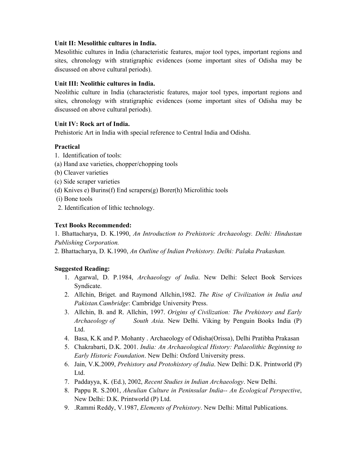## **Unit II: Mesolithic cultures in India.**

Mesolithic cultures in India (characteristic features, major tool types, important regions and sites, chronology with stratigraphic evidences (some important sites of Odisha may be discussed on above cultural periods).

#### **Unit III: Neolithic cultures in India.**

Neolithic culture in India (characteristic features, major tool types, important regions and sites, chronology with stratigraphic evidences (some important sites of Odisha may be discussed on above cultural periods).

#### **Unit IV: Rock art of India.**

Prehistoric Art in India with special reference to Central India and Odisha.

#### **Practical**

- 1. Identification of tools:
- (a) Hand axe varieties, chopper/chopping tools
- (b) Cleaver varieties
- (c) Side scraper varieties
- (d) Knives e) Burins(f) End scrapers(g) Borer(h) Microlithic tools
- (i) Bone tools
- 2. Identification of lithic technology.

## **Text Books Recommended:**

1. Bhattacharya, D. K.1990, *An Introduction to Prehistoric Archaeology. Delhi: Hindustan Publishing Corporation.* 

2. Bhattacharya, D. K.1990, *An Outline of Indian Prehistory. Delhi: Palaka Prakashan.* 

## **Suggested Reading:**

- 1. Agarwal, D. P.1984, *Archaeology of India*. New Delhi: Select Book Services Syndicate.
- 2. Allchin, Briget. and Raymond Allchin,1982. *The Rise of Civilization in India and Pakistan.Cambridge*: Cambridge University Press.
- 3. Allchin, B. and R. Allchin, 1997. *Origins of Civilization: The Prehistory and Early Archaeology of South Asia*. New Delhi. Viking by Penguin Books India (P) Ltd.
- 4. Basa, K.K and P. Mohanty . Archaeology of Odisha(Orissa), Delhi Pratibha Prakasan
- 5. Chakrabarti, D.K. 2001. *India: An Archaeological History: Palaeolithic Beginning to Early Historic Foundation*. New Delhi: Oxford University press.
- 6. Jain, V.K.2009, *Prehistory and Protohistory of India*. New Delhi: D.K. Printworld (P) Ltd.
- 7. Paddayya, K. (Ed.), 2002, *Recent Studies in Indian Archaeology*. New Delhi.
- 8. Pappu R. S.2001, *Aheulian Culture in Peninsular India-- An Ecological Perspective*, New Delhi: D.K. Printworld (P) Ltd.
- 9. .Rammi Reddy, V.1987, *Elements of Prehistory*. New Delhi: Mittal Publications.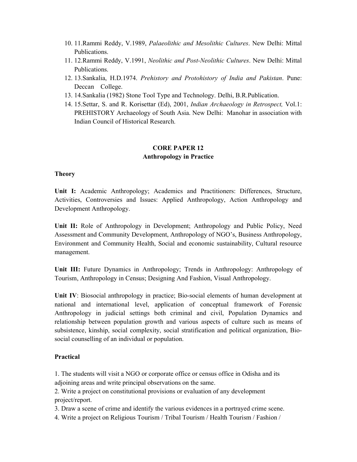- 10. 11.Rammi Reddy, V.1989, *Palaeolithic and Mesolithic Cultures*. New Delhi: Mittal Publications.
- 11. 12.Rammi Reddy, V.1991, *Neolithic and Post-Neolithic Cultures*. New Delhi: Mittal Publications.
- 12. 13.Sankalia, H.D.1974. *Prehistory and Protohistory of India and Pakistan*. Pune: Deccan College.
- 13. 14.Sankalia (1982) Stone Tool Type and Technology. Delhi, B.R.Publication.
- 14. 15.Settar, S. and R. Korisettar (Ed), 2001, *Indian Archaeology in Retrospect,* Vol.1: PREHISTORY Archaeology of South Asia. New Delhi: Manohar in association with Indian Council of Historical Research.

## **CORE PAPER 12 Anthropology in Practice**

#### **Theory**

**Unit I:** Academic Anthropology; Academics and Practitioners: Differences, Structure, Activities, Controversies and Issues: Applied Anthropology, Action Anthropology and Development Anthropology.

**Unit II:** Role of Anthropology in Development; Anthropology and Public Policy, Need Assessment and Community Development, Anthropology of NGO's, Business Anthropology, Environment and Community Health, Social and economic sustainability, Cultural resource management.

**Unit III:** Future Dynamics in Anthropology; Trends in Anthropology: Anthropology of Tourism, Anthropology in Census; Designing And Fashion, Visual Anthropology.

**Unit IV**: Biosocial anthropology in practice; Bio-social elements of human development at national and international level, application of conceptual framework of Forensic Anthropology in judicial settings both criminal and civil, Population Dynamics and relationship between population growth and various aspects of culture such as means of subsistence, kinship, social complexity, social stratification and political organization, Biosocial counselling of an individual or population.

## **Practical**

1. The students will visit a NGO or corporate office or census office in Odisha and its adjoining areas and write principal observations on the same.

2. Write a project on constitutional provisions or evaluation of any development project/report.

3. Draw a scene of crime and identify the various evidences in a portrayed crime scene.

4. Write a project on Religious Tourism / Tribal Tourism / Health Tourism / Fashion /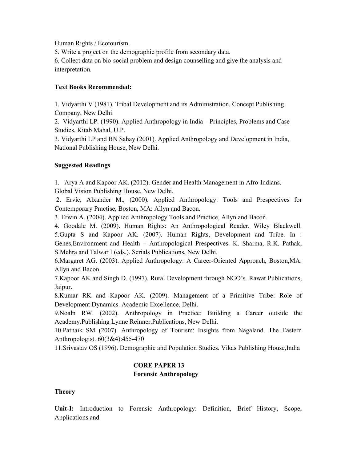Human Rights / Ecotourism.

5. Write a project on the demographic profile from secondary data.

6. Collect data on bio-social problem and design counselling and give the analysis and interpretation.

## **Text Books Recommended:**

1. Vidyarthi V (1981). Tribal Development and its Administration. Concept Publishing Company, New Delhi.

2. Vidyarthi LP. (1990). Applied Anthropology in India – Principles, Problems and Case Studies. Kitab Mahal, U.P.

3. Vidyarthi LP and BN Sahay (2001). Applied Anthropology and Development in India, National Publishing House, New Delhi.

## **Suggested Readings**

1. Arya A and Kapoor AK. (2012). Gender and Health Management in Afro-Indians. Global Vision Publishing House, New Delhi.

 2. Ervic, Alxander M., (2000). Applied Anthropology: Tools and Prespectives for Contemporary Practise, Boston, MA: Allyn and Bacon.

3. Erwin A. (2004). Applied Anthropology Tools and Practice, Allyn and Bacon.

4. Goodale M. (2009). Human Rights: An Anthropological Reader. Wiley Blackwell. 5.Gupta S and Kapoor AK. (2007). Human Rights, Development and Tribe. In : Genes,Environment and Health – Anthropological Prespectives. K. Sharma, R.K. Pathak, S.Mehra and Talwar I (eds.). Serials Publications, New Delhi.

6.Margaret AG. (2003). Applied Anthropology: A Career-Oriented Approach, Boston,MA: Allyn and Bacon.

7.Kapoor AK and Singh D. (1997). Rural Development through NGO's. Rawat Publications, Jaipur.

8.Kumar RK and Kapoor AK. (2009). Management of a Primitive Tribe: Role of Development Dynamics. Academic Excellence, Delhi.

9.Noaln RW. (2002). Anthropology in Practice: Building a Career outside the Academy.Publishing Lynne Reinner.Publications, New Delhi.

10.Patnaik SM (2007). Anthropology of Tourism: Insights from Nagaland. The Eastern Anthropologist. 60(3&4):455-470

11.Srivastav OS (1996). Demographic and Population Studies. Vikas Publishing House,India

# **CORE PAPER 13 Forensic Anthropology**

## **Theory**

**Unit-I:** Introduction to Forensic Anthropology: Definition, Brief History, Scope, Applications and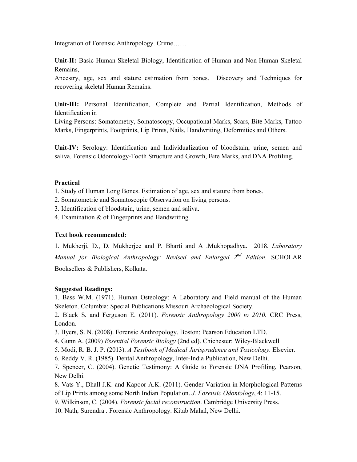Integration of Forensic Anthropology. Crime……

**Unit-II:** Basic Human Skeletal Biology, Identification of Human and Non-Human Skeletal Remains,

Ancestry, age, sex and stature estimation from bones. Discovery and Techniques for recovering skeletal Human Remains.

**Unit-III:** Personal Identification, Complete and Partial Identification, Methods of Identification in

Living Persons: Somatometry, Somatoscopy, Occupational Marks, Scars, Bite Marks, Tattoo Marks, Fingerprints, Footprints, Lip Prints, Nails, Handwriting, Deformities and Others.

**Unit-IV:** Serology: Identification and Individualization of bloodstain, urine, semen and saliva. Forensic Odontology-Tooth Structure and Growth, Bite Marks, and DNA Profiling.

## **Practical**

- 1. Study of Human Long Bones. Estimation of age, sex and stature from bones.
- 2. Somatometric and Somatoscopic Observation on living persons.
- 3. Identification of bloodstain, urine, semen and saliva.
- 4. Examination & of Fingerprints and Handwriting.

#### **Text book recommended:**

1. Mukherji, D., D. Mukherjee and P. Bharti and A .Mukhopadhya. 2018. *Laboratory Manual for Biological Anthropology: Revised and Enlarged 2nd Edition*. SCHOLAR Booksellers & Publishers, Kolkata.

#### **Suggested Readings:**

1. Bass W.M. (1971). Human Osteology: A Laboratory and Field manual of the Human Skeleton. Columbia: Special Publications Missouri Archaeological Society.

2. Black S. and Ferguson E. (2011). *Forensic Anthropology 2000 to 2010.* CRC Press, London.

- 3. Byers, S. N. (2008). Forensic Anthropology. Boston: Pearson Education LTD.
- 4. Gunn A. (2009) *Essential Forensic Biology* (2nd ed). Chichester: Wiley-Blackwell
- 5. Modi, R. B. J. P. (2013). *A Textbook of Medical Jurisprudence and Toxicology*. Elsevier.
- 6. Reddy V. R. (1985). Dental Anthropology, Inter-India Publication, New Delhi.

7. Spencer, C. (2004). Genetic Testimony: A Guide to Forensic DNA Profiling, Pearson, New Delhi.

8. Vats Y., Dhall J.K. and Kapoor A.K. (2011). Gender Variation in Morphological Patterns of Lip Prints among some North Indian Population. *J. Forensic Odontology*, 4: 11-15.

9. Wilkinson, C. (2004). *Forensic facial reconstruction*. Cambridge University Press.

10. Nath, Surendra . Forensic Anthropology. Kitab Mahal, New Delhi.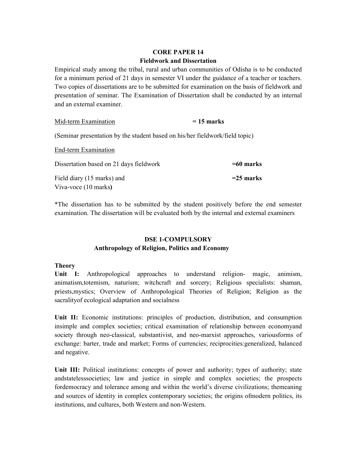# **CORE PAPER 14 Fieldwork and Dissertation**

Empirical study among the tribal, rural and urban communities of Odisha is to be conducted for a minimum period of 21 days in semester VI under the guidance of a teacher or teachers. Two copies of dissertations are to be submitted for examination on the basis of fieldwork and presentation of seminar. The Examination of Dissertation shall be conducted by an internal and an external examiner.

| Mid-term Examination                                                         | $= 15$ marks |  |  |  |
|------------------------------------------------------------------------------|--------------|--|--|--|
| (Seminar presentation by the student based on his/her fieldwork/field topic) |              |  |  |  |
| End-term Examination                                                         |              |  |  |  |
| Dissertation based on 21 days fieldwork                                      | $=60$ marks  |  |  |  |
| Field diary (15 marks) and<br>Viva-voce (10 marks)                           | $=$ 25 marks |  |  |  |

\*The dissertation has to be submitted by the student positively before the end semester examination. The dissertation will be evaluated both by the internal and external examiners

# **DSE 1-COMPULSORY Anthropology of Religion, Politics and Economy**

## **Theory**

**Unit I:** Anthropological approaches to understand religion- magic, animism, animatism,totemism, naturism; witchcraft and sorcery; Religious specialists: shaman, priests,mystics; Overview of Anthropological Theories of Religion; Religion as the sacralityof ecological adaptation and socialness

**Unit II:** Economic institutions: principles of production, distribution, and consumption insimple and complex societies; critical examination of relationship between economyand society through neo-classical, substantivist, and neo-marxist approaches, variousforms of exchange: barter, trade and market; Forms of currencies; reciprocities:generalized, balanced and negative.

Unit III: Political institutions: concepts of power and authority; types of authority; state andstatelesssocieties; law and justice in simple and complex societies; the prospects fordemocracy and tolerance among and within the world's diverse civilizations; themeaning and sources of identity in complex contemporary societies; the origins ofmodern politics, its institutions, and cultures, both Western and non-Western.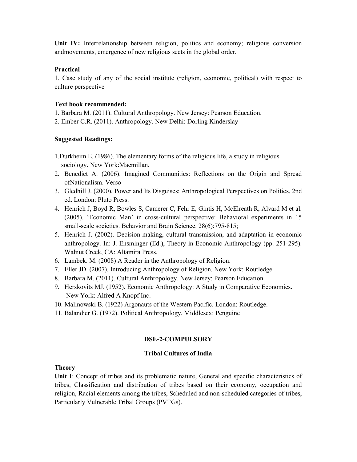**Unit IV:** Interrelationship between religion, politics and economy; religious conversion andmovements, emergence of new religious sects in the global order.

#### **Practical**

1. Case study of any of the social institute (religion, economic, political) with respect to culture perspective

#### **Text book recommended:**

1. Barbara M. (2011). Cultural Anthropology. New Jersey: Pearson Education.

2. Ember C.R. (2011). Anthropology. New Delhi: Dorling Kinderslay

#### **Suggested Readings:**

- 1.Durkheim E. (1986). The elementary forms of the religious life, a study in religious sociology. New York:Macmillan.
- 2. Benedict A. (2006). Imagined Communities: Reflections on the Origin and Spread ofNationalism. Verso
- 3. Gledhill J. (2000). Power and Its Disguises: Anthropological Perspectives on Politics. 2nd ed. London: Pluto Press.
- 4. Henrich J, Boyd R, Bowles S, Camerer C, Fehr E, Gintis H, McElreath R, Alvard M et al. (2005). 'Economic Man' in cross-cultural perspective: Behavioral experiments in 15 small-scale societies. Behavior and Brain Science. 28(6):795-815;
- 5. Henrich J. (2002). Decision-making, cultural transmission, and adaptation in economic anthropology. In: J. Ensminger (Ed.), Theory in Economic Anthropology (pp. 251-295). Walnut Creek, CA: Altamira Press.
- 6. Lambek. M. (2008) A Reader in the Anthropology of Religion.
- 7. Eller JD. (2007). Introducing Anthropology of Religion. New York: Routledge.
- 8. Barbara M. (2011). Cultural Anthropology. New Jersey: Pearson Education.
- 9. Herskovits MJ. (1952). Economic Anthropology: A Study in Comparative Economics. New York: Alfred A Knopf Inc.
- 10. Malinowski B. (1922) Argonauts of the Western Pacific. London: Routledge.
- 11. Balandier G. (1972). Political Anthropology. Middlesex: Penguine

## **DSE-2-COMPULSORY**

## **Tribal Cultures of India**

## **Theory**

**Unit I**: Concept of tribes and its problematic nature, General and specific characteristics of tribes, Classification and distribution of tribes based on their economy, occupation and religion, Racial elements among the tribes, Scheduled and non-scheduled categories of tribes, Particularly Vulnerable Tribal Groups (PVTGs).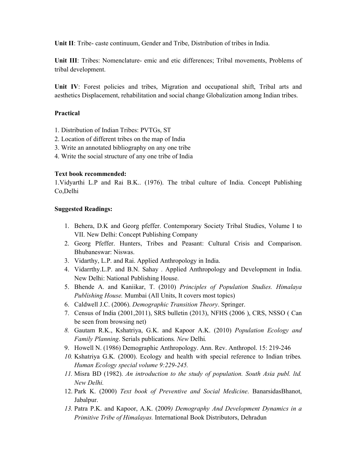**Unit II**: Tribe- caste continuum, Gender and Tribe, Distribution of tribes in India.

**Unit III**: Tribes: Nomenclature- emic and etic differences; Tribal movements, Problems of tribal development.

**Unit IV**: Forest policies and tribes, Migration and occupational shift, Tribal arts and aesthetics Displacement, rehabilitation and social change Globalization among Indian tribes.

#### **Practical**

- 1. Distribution of Indian Tribes: PVTGs, ST
- 2. Location of different tribes on the map of India
- 3. Write an annotated bibliography on any one tribe
- 4. Write the social structure of any one tribe of India

#### **Text book recommended:**

1.Vidyarthi L.P and Rai B.K.. (1976). The tribal culture of India. Concept Publishing Co,Delhi

#### **Suggested Readings:**

- 1. Behera, D.K and Georg pfeffer. Contemporary Society Tribal Studies, Volume I to VII. New Delhi: Concept Publishing Company
- 2. Georg Pfeffer. Hunters, Tribes and Peasant: Cultural Crisis and Comparison. Bhubaneswar: Niswas.
- 3. Vidarthy, L.P. and Rai. Applied Anthropology in India.
- 4. Vidarrthy.L.P. and B.N. Sahay . Applied Anthropology and Development in India. New Delhi: National Publishing House.
- 5. Bhende A. and Kaniikar, T. (2010) *Principles of Population Studies. Himalaya Publishing House.* Mumbai (All Units, It covers most topics)
- 6. Caldwell J.C. (2006). *Demographic Transition Theory*. Springer.
- 7. Census of India (2001,2011), SRS bulletin (2013), NFHS (2006 ), CRS, NSSO ( Can be seen from browsing net)
- *8.* Gautam R.K., Kshatriya, G.K. and Kapoor A.K. (2010) *Population Ecology and Family Planning*. Serials publications*. New* Delhi*.*
- 9. Howell N. (1986) Demographic Anthropology. Ann. Rev. Anthropol. 15: 219-246
- *10.* Kshatriya G.K*.* (2000). Ecology and health with special reference to Indian tribes*. Human Ecology special volume 9:229-245.*
- *11.* Misra BD (1982). *An introduction to the study of population. South Asia publ. ltd. New Delhi.*
- 12. Park K. (2000) *Text book of Preventive and Social Medicine*. BanarsidasBhanot, Jabalpur.
- *13.* Patra P.K. and Kapoor, A.K. (2009*) Demography And Development Dynamics in a Primitive Tribe of Himalayas.* International Book Distributors, Dehradun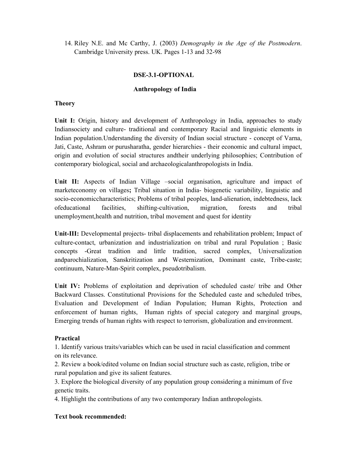14. Riley N.E. and Mc Carthy, J. (2003) *Demography in the Age of the Postmodern*. Cambridge University press. UK. Pages 1-13 and 32-98

#### **DSE-3.1-OPTIONAL**

#### **Anthropology of India**

#### **Theory**

Unit I: Origin, history and development of Anthropology in India, approaches to study Indiansociety and culture- traditional and contemporary Racial and linguistic elements in Indian population.Understanding the diversity of Indian social structure - concept of Varna, Jati, Caste, Ashram or purusharatha, gender hierarchies - their economic and cultural impact, origin and evolution of social structures andtheir underlying philosophies; Contribution of contemporary biological, social and archaeologicalanthropologists in India.

**Unit II:** Aspects of Indian Village –social organisation, agriculture and impact of marketeconomy on villages**;** Tribal situation in India- biogenetic variability, linguistic and socio-economiccharacteristics; Problems of tribal peoples, land-alienation, indebtedness, lack ofeducational facilities, shifting-cultivation, migration, forests and tribal unemployment,health and nutrition, tribal movement and quest for identity

**Unit-III:** Developmental projects- tribal displacements and rehabilitation problem; Impact of culture-contact, urbanization and industrialization on tribal and rural Population ; Basic concepts -Great tradition and little tradition, sacred complex, Universalization andparochialization, Sanskritization and Westernization, Dominant caste, Tribe-caste; continuum, Nature-Man-Spirit complex, pseudotribalism.

**Unit IV:** Problems of exploitation and deprivation of scheduled caste/ tribe and Other Backward Classes. Constitutional Provisions for the Scheduled caste and scheduled tribes, Evaluation and Development of Indian Population; Human Rights, Protection and enforcement of human rights, Human rights of special category and marginal groups, Emerging trends of human rights with respect to terrorism, globalization and environment.

## **Practical**

1. Identify various traits/variables which can be used in racial classification and comment on its relevance.

2. Review a book/edited volume on Indian social structure such as caste, religion, tribe or rural population and give its salient features.

3. Explore the biological diversity of any population group considering a minimum of five genetic traits.

4. Highlight the contributions of any two contemporary Indian anthropologists.

#### **Text book recommended:**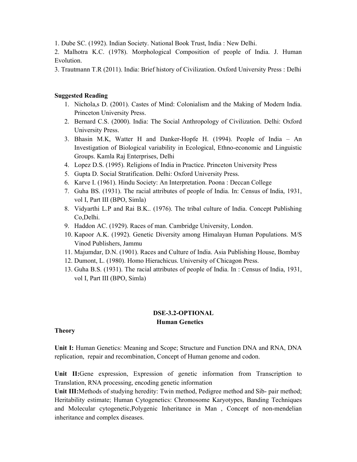1. Dube SC. (1992). Indian Society. National Book Trust, India : New Delhi.

2. Malhotra K.C. (1978). Morphological Composition of people of India. J. Human Evolution.

3. Trautmann T.R (2011). India: Brief history of Civilization. Oxford University Press : Delhi

## **Suggested Reading**

- 1. Nichola,s D. (2001). Castes of Mind: Colonialism and the Making of Modern India. Princeton University Press.
- 2. Bernard C.S. (2000). India: The Social Anthropology of Civilization. Delhi: Oxford University Press.
- 3. Bhasin M.K, Watter H and Danker-Hopfe H. (1994). People of India An Investigation of Biological variability in Ecological, Ethno-economic and Linguistic Groups. Kamla Raj Enterprises, Delhi
- 4. Lopez D.S. (1995). Religions of India in Practice. Princeton University Press
- 5. Gupta D. Social Stratification. Delhi: Oxford University Press.
- 6. Karve I. (1961). Hindu Society: An Interpretation. Poona : Deccan College
- 7. Guha BS. (1931). The racial attributes of people of India. In: Census of India, 1931, vol I, Part III (BPO, Simla)
- 8. Vidyarthi L.P and Rai B.K.. (1976). The tribal culture of India. Concept Publishing Co,Delhi.
- 9. Haddon AC. (1929). Races of man. Cambridge University, London.
- 10. Kapoor A.K. (1992). Genetic Diversity among Himalayan Human Populations. M/S Vinod Publishers, Jammu
- 11. Majumdar, D.N. (1901). Races and Culture of India. Asia Publishing House, Bombay
- 12. Dumont, L. (1980). Homo Hierachicus. University of Chicagon Press.
- 13. Guha B.S. (1931). The racial attributes of people of India. In : Census of India, 1931, vol I, Part III (BPO, Simla)

# **DSE-3.2-OPTIONAL Human Genetics**

## **Theory**

**Unit I:** Human Genetics: Meaning and Scope; Structure and Function DNA and RNA, DNA replication, repair and recombination, Concept of Human genome and codon.

**Unit II:**Gene expression, Expression of genetic information from Transcription to Translation, RNA processing, encoding genetic information

**Unit III:**Methods of studying heredity: Twin method, Pedigree method and Sib- pair method; Heritability estimate; Human Cytogenetics: Chromosome Karyotypes, Banding Techniques and Molecular cytogenetic,Polygenic Inheritance in Man , Concept of non-mendelian inheritance and complex diseases.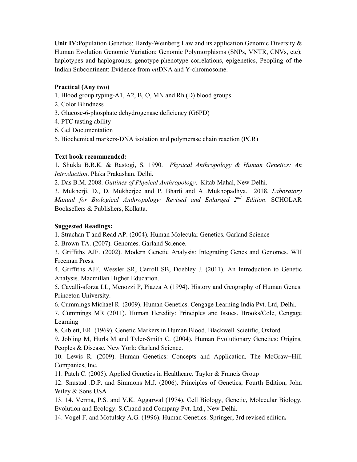**Unit IV:**Population Genetics: Hardy-Weinberg Law and its application.Genomic Diversity & Human Evolution Genomic Variation: Genomic Polymorphisms (SNPs, VNTR, CNVs, etc); haplotypes and haplogroups; genotype-phenotype correlations, epigenetics, Peopling of the Indian Subcontinent: Evidence from *mt*DNA and Y-chromosome.

## **Practical (Any two)**

- 1. Blood group typing-A1, A2, B, O, MN and Rh (D) blood groups
- 2. Color Blindness
- 3. Glucose-6-phosphate dehydrogenase deficiency (G6PD)
- 4. PTC tasting ability
- 6. Gel Documentation
- 5. Biochemical markers-DNA isolation and polymerase chain reaction (PCR)

## **Text book recommended:**

1. Shukla B.R.K. & Rastogi, S. 1990. *Physical Anthropology & Human Genetics: An Introduction*. Plaka Prakashan. Delhi.

2. Das B.M. 2008. *Outlines of Physical Anthropology*. Kitab Mahal, New Delhi.

3. Mukherji, D., D. Mukherjee and P. Bharti and A .Mukhopadhya. 2018. *Laboratory Manual for Biological Anthropology: Revised and Enlarged 2nd Edition*. SCHOLAR Booksellers & Publishers, Kolkata.

## **Suggested Readings:**

1. Strachan T and Read AP. (2004). Human Molecular Genetics. Garland Science

2. Brown TA. (2007). Genomes. Garland Science.

3. Griffiths AJF. (2002). Modern Genetic Analysis: Integrating Genes and Genomes. WH Freeman Press.

4. Griffiths AJF, Wessler SR, Carroll SB, Doebley J. (2011). An Introduction to Genetic Analysis. Macmillan Higher Education.

5. Cavalli-sforza LL, Menozzi P, Piazza A (1994). History and Geography of Human Genes. Princeton University.

6. Cummings Michael R. (2009). Human Genetics. Cengage Learning India Pvt. Ltd, Delhi.

7. Cummings MR (2011). Human Heredity: Principles and Issues. Brooks/Cole, Cengage Learning

8. Giblett, ER. (1969). Genetic Markers in Human Blood. Blackwell Scietific, Oxford.

9. Jobling M, Hurls M and Tyler-Smith C. (2004). Human Evolutionary Genetics: Origins, Peoples & Disease. New York: Garland Science.

10. Lewis R. (2009). Human Genetics: Concepts and Application. The McGraw−Hill Companies, Inc.

11. Patch C. (2005). Applied Genetics in Healthcare. Taylor & Francis Group

12. Snustad .D.P. and Simmons M.J. (2006). Principles of Genetics, Fourth Edition, John Wiley & Sons USA

13. 14. Verma, P.S. and V.K. Aggarwal (1974). Cell Biology, Genetic, Molecular Biology, Evolution and Ecology. S.Chand and Company Pvt. Ltd., New Delhi.

14. Vogel F. and Motulsky A.G. (1996). Human Genetics. Springer, 3rd revised edition**.**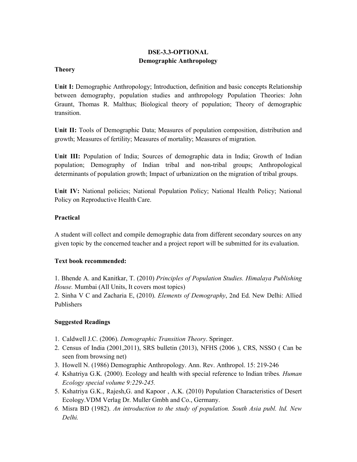# **DSE-3.3-OPTIONAL Demographic Anthropology**

#### **Theory**

**Unit I:** Demographic Anthropology; Introduction, definition and basic concepts Relationship between demography, population studies and anthropology Population Theories: John Graunt, Thomas R. Malthus; Biological theory of population; Theory of demographic transition.

**Unit II:** Tools of Demographic Data; Measures of population composition, distribution and growth; Measures of fertility; Measures of mortality; Measures of migration.

**Unit III:** Population of India; Sources of demographic data in India; Growth of Indian population; Demography of Indian tribal and non-tribal groups; Anthropological determinants of population growth; Impact of urbanization on the migration of tribal groups.

**Unit IV:** National policies; National Population Policy; National Health Policy; National Policy on Reproductive Health Care.

## **Practical**

A student will collect and compile demographic data from different secondary sources on any given topic by the concerned teacher and a project report will be submitted for its evaluation.

## **Text book recommended:**

1. Bhende A. and Kanitkar, T. (2010) *Principles of Population Studies. Himalaya Publishing House.* Mumbai (All Units, It covers most topics)

2. Sinha V C and Zacharia E, (2010). *Elements of Demography*, 2nd Ed. New Delhi: Allied Publishers

## **Suggested Readings**

- 1. Caldwell J.C. (2006). *Demographic Transition Theory*. Springer.
- 2. Census of India (2001,2011), SRS bulletin (2013), NFHS (2006 ), CRS, NSSO ( Can be seen from browsing net)
- 3. Howell N. (1986) Demographic Anthropology. Ann. Rev. Anthropol. 15: 219-246
- *4.* Kshatriya G.K*.* (2000). Ecology and health with special reference to Indian tribes*. Human Ecology special volume 9:229-245.*
- 5. Kshatriya G.K., Rajesh,G. and Kapoor , A.K. (2010) Population Characteristics of Desert Ecology.VDM Verlag Dr. Muller Gmbh and Co., Germany.
- *6.* Misra BD (1982). *An introduction to the study of population. South Asia publ. ltd. New Delhi.*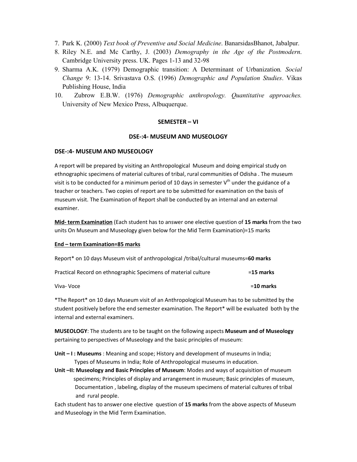- 7. Park K. (2000) *Text book of Preventive and Social Medicine*. BanarsidasBhanot, Jabalpur.
- 8. Riley N.E. and Mc Carthy, J. (2003) *Demography in the Age of the Postmodern*. Cambridge University press. UK. Pages 1-13 and 32-98
- 9. Sharma A.K. (1979) Demographic transition: A Determinant of Urbanization*. Social Change* 9: 13-14. Srivastava O.S. (1996) *Demographic and Population Studies*. Vikas Publishing House, India
- 10. Zubrow E.B.W. (1976) *Demographic anthropology. Quantitative approaches.* University of New Mexico Press, Albuquerque.

#### **SEMESTER – VI**

#### **DSE-:4- MUSEUM AND MUSEOLOGY**

#### **DSE-:4- MUSEUM AND MUSEOLOGY**

A report will be prepared by visiting an Anthropological Museum and doing empirical study on ethnographic specimens of material cultures of tribal, rural communities of Odisha . The museum visit is to be conducted for a minimum period of 10 days in semester  $V^{th}$  under the guidance of a teacher or teachers. Two copies of report are to be submitted for examination on the basis of museum visit. The Examination of Report shall be conducted by an internal and an external examiner.

**Mid- term Examination** (Each student has to answer one elective question of **15 marks** from the two units On Museum and Museology given below for the Mid Term Examination)=15 marks

#### **End – term Examination=85 marks**

|  | Report* on 10 days Museum visit of anthropological /tribal/cultural museums=60 marks |  |
|--|--------------------------------------------------------------------------------------|--|
|  |                                                                                      |  |

| Practical Record on ethnographic Specimens of material culture | $=15$ marks |
|----------------------------------------------------------------|-------------|
|----------------------------------------------------------------|-------------|

Viva- Voce =**10 marks** 

\*The Report\* on 10 days Museum visit of an Anthropological Museum has to be submitted by the student positively before the end semester examination. The Report\* will be evaluated both by the internal and external examiners.

**MUSEOLOGY**: The students are to be taught on the following aspects **Museum and of Museology** pertaining to perspectives of Museology and the basic principles of museum:

**Unit – I : Museums** : Meaning and scope; History and development of museums in India;

Types of Museums in India; Role of Anthropological museums in education.

**Unit –II: Museology and Basic Principles of Museum**: Modes and ways of acquisition of museum specimens; Principles of display and arrangement in museum; Basic principles of museum, Documentation , labeling, display of the museum specimens of material cultures of tribal and rural people.

Each student has to answer one elective question of **15 marks** from the above aspects of Museum and Museology in the Mid Term Examination.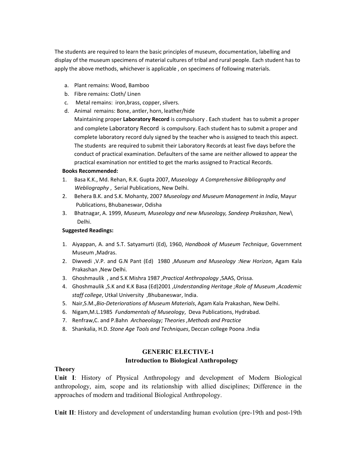The students are required to learn the basic principles of museum, documentation, labelling and display of the museum specimens of material cultures of tribal and rural people. Each student has to apply the above methods, whichever is applicable , on specimens of following materials.

- a. Plant remains: Wood, Bamboo
- b. Fibre remains: Cloth/ Linen
- c. Metal remains: iron,brass, copper, silvers.
- d. Animal remains: Bone, antler, horn, leather/hide

Maintaining proper **Laboratory Record** is compulsory . Each student has to submit a proper and complete Laboratory Record is compulsory. Each student has to submit a proper and complete laboratory record duly signed by the teacher who is assigned to teach this aspect. The students are required to submit their Laboratory Records at least five days before the conduct of practical examination. Defaulters of the same are neither allowed to appear the practical examination nor entitled to get the marks assigned to Practical Records.

#### **Books Recommended:**

- 1. Basa K.K., Md. Rehan, R.K. Gupta 2007, *Museology A Comprehensive Bibliography and Webliography* , Serial Publications, New Delhi.
- 2. Behera B.K. and S.K. Mohanty, 2007 *Museology and Museum Management in India*, Mayur Publications, Bhubaneswar, Odisha
- 3. Bhatnagar, A. 1999, *Museum, Museology and new Museology, Sandeep Prakashan*, New\ Delhi.

#### **Suggested Readings:**

- 1. Aiyappan, A. and S.T. Satyamurti (Ed), 1960, *Handbook of Museum Technique*, Government Museum ,Madras.
- 2. Diwvedi ,V.P. and G.N Pant (Ed) 1980 ,*Museum and Museology :New Horizon*, Agam Kala Prakashan ,New Delhi.
- 3. Ghoshmaulik , and S.K Mishra 1987 ,*Practical Anthropology* ,SAAS, Orissa.
- 4. Ghoshmaulik ,S.K and K.K Basa (Ed)2001 ,*Understanding Heritage ;Role of Museum ,Academic staff college*, Utkal University ,Bhubaneswar, India.
- 5. Nair,S.M.,*Bio-Deteriorations of Museum Materials*, Agam Kala Prakashan, New Delhi.
- 6. Nigam,M.L.1985 *Fundamentals of Museology*, Deva Publications, Hydrabad.
- 7. Renfraw,C. and P.Bahn *Archaeology; Theories ,Methods and Practice*
- 8. Shankalia, H.D. *Stone Age Tools and Techniques*, Deccan college Poona .India

## **GENERIC ELECTIVE-1**

#### **Introduction to Biological Anthropology**

#### **Theory**

**Unit I**: History of Physical Anthropology and development of Modern Biological anthropology, aim, scope and its relationship with allied disciplines; Difference in the approaches of modern and traditional Biological Anthropology.

**Unit II**: History and development of understanding human evolution (pre-19th and post-19th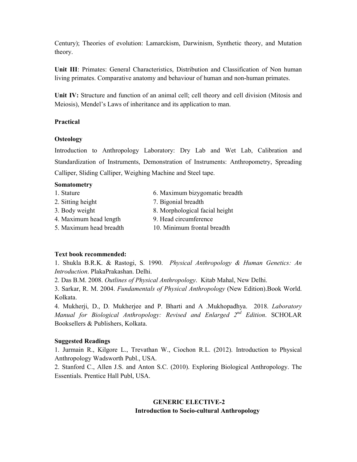Century); Theories of evolution: Lamarckism, Darwinism, Synthetic theory, and Mutation theory.

**Unit III**: Primates: General Characteristics, Distribution and Classification of Non human living primates. Comparative anatomy and behaviour of human and non-human primates.

**Unit IV:** Structure and function of an animal cell; cell theory and cell division (Mitosis and Meiosis), Mendel's Laws of inheritance and its application to man.

#### **Practical**

#### **Osteology**

Introduction to Anthropology Laboratory: Dry Lab and Wet Lab, Calibration and Standardization of Instruments, Demonstration of Instruments: Anthropometry, Spreading Calliper, Sliding Calliper, Weighing Machine and Steel tape.

#### **Somatometry**

1. Stature 6. Maximum bizygomatic breadth 2. Sitting height 7. Bigonial breadth 3. Body weight 8. Morphological facial height 4. Maximum head length 9. Head circumference 5. Maximum head breadth 10. Minimum frontal breadth

## **Text book recommended:**

1. Shukla B.R.K. & Rastogi, S. 1990. *Physical Anthropology & Human Genetics: An Introduction*. PlakaPrakashan. Delhi.

2. Das B.M. 2008. *Outlines of Physical Anthropology*. Kitab Mahal, New Delhi.

3. Sarkar, R. M. 2004. *Fundamentals of Physical Anthropology* (New Edition).Book World. Kolkata.

4. Mukherji, D., D. Mukherjee and P. Bharti and A .Mukhopadhya. 2018. *Laboratory Manual for Biological Anthropology: Revised and Enlarged 2nd Edition*. SCHOLAR Booksellers & Publishers, Kolkata.

#### **Suggested Readings**

1. Jurmain R., Kilgore L., Trevathan W., Ciochon R.L. (2012). Introduction to Physical Anthropology Wadsworth Publ., USA.

2. Stanford C., Allen J.S. and Anton S.C. (2010). Exploring Biological Anthropology. The Essentials. Prentice Hall Publ, USA.

# **GENERIC ELECTIVE-2 Introduction to Socio-cultural Anthropology**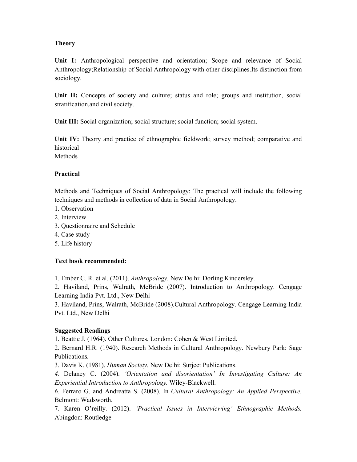## **Theory**

**Unit I:** Anthropological perspective and orientation; Scope and relevance of Social Anthropology;Relationship of Social Anthropology with other disciplines.Its distinction from sociology.

Unit II: Concepts of society and culture; status and role; groups and institution, social stratification,and civil society.

**Unit III:** Social organization; social structure; social function; social system.

**Unit IV:** Theory and practice of ethnographic fieldwork; survey method; comparative and historical **Methods** 

## **Practical**

Methods and Techniques of Social Anthropology: The practical will include the following techniques and methods in collection of data in Social Anthropology.

- 1. Observation
- 2. Interview
- 3. Questionnaire and Schedule
- 4. Case study
- 5. Life history

## **Text book recommended:**

1. Ember C. R. et al. (2011). *Anthropology.* New Delhi: Dorling Kindersley.

2. Haviland, Prins, Walrath, McBride (2007). Introduction to Anthropology. Cengage Learning India Pvt. Ltd., New Delhi

3. Haviland, Prins, Walrath, McBride (2008).Cultural Anthropology. Cengage Learning India Pvt. Ltd., New Delhi

## **Suggested Readings**

1. Beattie J. (1964). Other Cultures. London: Cohen & West Limited.

2. Bernard H.R. (1940). Research Methods in Cultural Anthropology. Newbury Park: Sage Publications.

3. Davis K. (1981). *Human Society.* New Delhi: Surjeet Publications.

*4.* Delaney C. (2004). *'Orientation and disorientation' In Investigating Culture: An Experiential Introduction to Anthropology.* Wiley-Blackwell.

*6.* Ferraro G. and Andreatta S. (2008). In *Cultural Anthropology: An Applied Perspective.*  Belmont: Wadsworth.

7*.* Karen O'reilly. (2012). *'Practical Issues in Interviewing' Ethnographic Methods.*  Abingdon: Routledge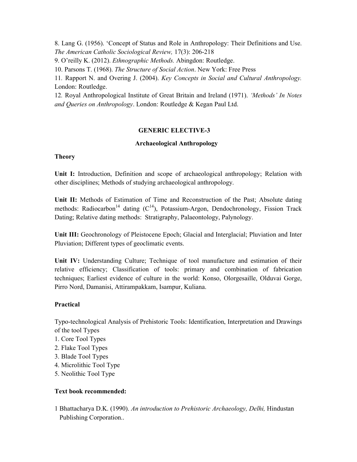8. Lang G. (1956). 'Concept of Status and Role in Anthropology: Their Definitions and Use. *The American Catholic Sociological Review,* 17(3): 206-218

9. O'reilly K. (2012). *Ethnographic Methods.* Abingdon: Routledge.

10. Parsons T. (1968). *The Structure of Social Action*. New York: Free Press

11*.* Rapport N. and Overing J. (2004). *Key Concepts in Social and Cultural Anthropology.*  London: Routledge.

12*.* Royal Anthropological Institute of Great Britain and Ireland (1971). *'Methods' In Notes and Queries on Anthropology*. London: Routledge & Kegan Paul Ltd.

# **GENERIC ELECTIVE-3**

## **Archaeological Anthropology**

## **Theory**

**Unit I:** Introduction, Definition and scope of archaeological anthropology; Relation with other disciplines; Methods of studying archaeological anthropology.

**Unit II:** Methods of Estimation of Time and Reconstruction of the Past; Absolute dating methods: Radiocarbon<sup>14</sup> dating  $(C^{14})$ , Potassium-Argon, Dendochronology, Fission Track Dating; Relative dating methods: Stratigraphy, Palaeontology, Palynology.

**Unit III:** Geochronology of Pleistocene Epoch; Glacial and Interglacial; Pluviation and Inter Pluviation; Different types of geoclimatic events.

**Unit IV:** Understanding Culture; Technique of tool manufacture and estimation of their relative efficiency; Classification of tools: primary and combination of fabrication techniques; Earliest evidence of culture in the world: Konso, Olorgesaille, Olduvai Gorge, Pirro Nord, Damanisi, Attirampakkam, Isampur, Kuliana.

# **Practical**

Typo-technological Analysis of Prehistoric Tools: Identification, Interpretation and Drawings of the tool Types

- 1. Core Tool Types
- 2. Flake Tool Types
- 3. Blade Tool Types
- 4. Microlithic Tool Type
- 5. Neolithic Tool Type

# **Text book recommended:**

1 Bhattacharya D.K. (1990). *An introduction to Prehistoric Archaeology, Delhi,* Hindustan Publishing Corporation..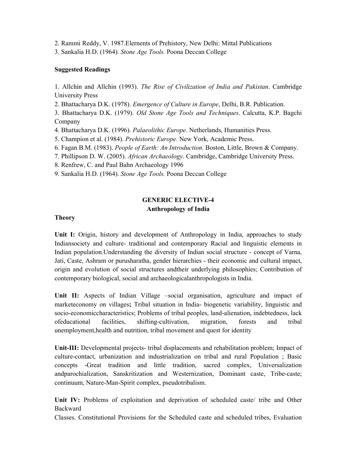2. Rammi Reddy, V. 1987.Elernents of Prehistory, New Delhi: Mittal Publications

3. Sankalia H.D. (1964). *Stone Age Tools.* Poona Deccan College

#### **Suggested Readings**

1. Allchin and Allchin (1993). *The Rise of Civilization of India and Pakistan*. Cambridge University Press

2. Bhattacharya D.K. (1978). *Emergence of Culture in Europe*, Delhi, B.R. Publication.

3. Bhattacharya D.K. (1979). *Old Stone Age Tools and Techniques*. Calcutta, K.P. Bagchi Company

4. Bhattacharya D.K. (1996). *Palaeolithic Europe*. Netherlands, Humanities Press.

- 5. Champion et al. (1984). *Prehistoric Europe.* New York, Academic Press.
- 6. Fagan B.M. (1983). *People of Earth: An Introduction*. Boston, Little, Brown & Company.
- 7. Phillipson D. W. (2005). *African Archaeology*. Cambridge, Cambridge University Press.

8. Renfrew, C. and Paul Bahn Archaeology 1996

9. Sankalia H.D. (1964). *Stone Age Tools.* Poona Deccan College

# **GENERIC ELECTIVE-4 Anthropology of India**

#### **Theory**

**Unit I:** Origin, history and development of Anthropology in India, approaches to study Indiansociety and culture- traditional and contemporary Racial and linguistic elements in Indian population.Understanding the diversity of Indian social structure - concept of Varna, Jati, Caste, Ashram or purusharatha, gender hierarchies - their economic and cultural impact, origin and evolution of social structures andtheir underlying philosophies; Contribution of contemporary biological, social and archaeologicalanthropologists in India.

Unit II: Aspects of Indian Village –social organisation, agriculture and impact of marketeconomy on villages**;** Tribal situation in India- biogenetic variability, linguistic and socio-economiccharacteristics; Problems of tribal peoples, land-alienation, indebtedness, lack ofeducational facilities, shifting-cultivation, migration, forests and tribal unemployment,health and nutrition, tribal movement and quest for identity

**Unit-III:** Developmental projects- tribal displacements and rehabilitation problem; Impact of culture-contact, urbanization and industrialization on tribal and rural Population ; Basic concepts -Great tradition and little tradition, sacred complex, Universalization andparochialization, Sanskritization and Westernization, Dominant caste, Tribe-caste; continuum, Nature-Man-Spirit complex, pseudotribalism.

**Unit IV:** Problems of exploitation and deprivation of scheduled caste/ tribe and Other Backward

Classes. Constitutional Provisions for the Scheduled caste and scheduled tribes, Evaluation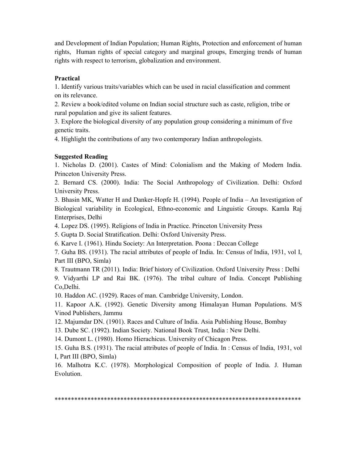and Development of Indian Population; Human Rights, Protection and enforcement of human rights, Human rights of special category and marginal groups, Emerging trends of human rights with respect to terrorism, globalization and environment.

## **Practical**

1. Identify various traits/variables which can be used in racial classification and comment on its relevance.

2. Review a book/edited volume on Indian social structure such as caste, religion, tribe or rural population and give its salient features.

3. Explore the biological diversity of any population group considering a minimum of five genetic traits.

4. Highlight the contributions of any two contemporary Indian anthropologists.

# **Suggested Reading**

1. Nicholas D. (2001). Castes of Mind: Colonialism and the Making of Modern India. Princeton University Press.

2. Bernard CS. (2000). India: The Social Anthropology of Civilization. Delhi: Oxford University Press.

3. Bhasin MK, Watter H and Danker-Hopfe H. (1994). People of India – An Investigation of Biological variability in Ecological, Ethno-economic and Linguistic Groups. Kamla Raj Enterprises, Delhi

4. Lopez DS. (1995). Religions of India in Practice. Princeton University Press

5. Gupta D. Social Stratification. Delhi: Oxford University Press.

6. Karve I. (1961). Hindu Society: An Interpretation. Poona : Deccan College

7. Guha BS. (1931). The racial attributes of people of India. In: Census of India, 1931, vol I, Part III (BPO, Simla)

8. Trautmann TR (2011). India: Brief history of Civilization. Oxford University Press : Delhi

9. Vidyarthi LP and Rai BK. (1976). The tribal culture of India. Concept Publishing Co,Delhi.

10. Haddon AC. (1929). Races of man. Cambridge University, London.

11. Kapoor A.K. (1992). Genetic Diversity among Himalayan Human Populations. M/S Vinod Publishers, Jammu

12. Majumdar DN. (1901). Races and Culture of India. Asia Publishing House, Bombay

13. Dube SC. (1992). Indian Society. National Book Trust, India : New Delhi.

14. Dumont L. (1980). Homo Hierachicus. University of Chicagon Press.

15. Guha B.S. (1931). The racial attributes of people of India. In : Census of India, 1931, vol I, Part III (BPO, Simla)

16. Malhotra K.C. (1978). Morphological Composition of people of India. J. Human Evolution.

\*\*\*\*\*\*\*\*\*\*\*\*\*\*\*\*\*\*\*\*\*\*\*\*\*\*\*\*\*\*\*\*\*\*\*\*\*\*\*\*\*\*\*\*\*\*\*\*\*\*\*\*\*\*\*\*\*\*\*\*\*\*\*\*\*\*\*\*\*\*\*\*\*\*\*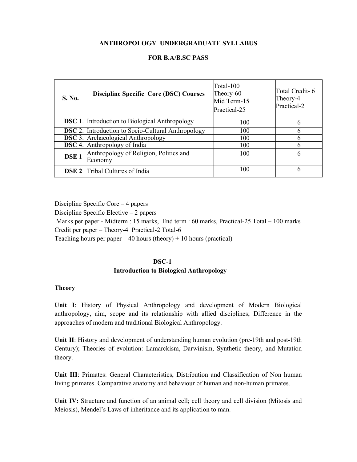#### **ANTHROPOLOGY UNDERGRADUATE SYLLABUS**

#### **FOR B.A/B.SC PASS**

| S. No.           | <b>Discipline Specific Core (DSC) Courses</b>             | Total-100<br>Theory-60<br>Mid Term-15<br>Practical-25 | Total Credit-6<br>Theory-4<br>Practical-2 |
|------------------|-----------------------------------------------------------|-------------------------------------------------------|-------------------------------------------|
|                  | <b>DSC</b> 1. Introduction to Biological Anthropology     | 100                                                   | 6                                         |
|                  | <b>DSC</b> 2. Introduction to Socio-Cultural Anthropology | 100                                                   | 6                                         |
|                  | <b>DSC</b> 3. Archaeological Anthropology                 | 100                                                   | 6                                         |
| <b>DSC</b> 4.    | Anthropology of India                                     | 100                                                   | h                                         |
| DSE <sub>1</sub> | Anthropology of Religion, Politics and<br>Economy         | 100                                                   | 6                                         |
|                  | <b>DSE 2</b> Tribal Cultures of India                     | 100                                                   | 6                                         |

Discipline Specific Core – 4 papers

Discipline Specific Elective – 2 papers

Marks per paper - Midterm : 15 marks, End term : 60 marks, Practical-25 Total – 100 marks

Credit per paper – Theory-4 Practical-2 Total-6

Teaching hours per paper  $-40$  hours (theory)  $+10$  hours (practical)

#### **DSC-1**

#### **Introduction to Biological Anthropology**

#### **Theory**

**Unit I**: History of Physical Anthropology and development of Modern Biological anthropology, aim, scope and its relationship with allied disciplines; Difference in the approaches of modern and traditional Biological Anthropology.

**Unit II**: History and development of understanding human evolution (pre-19th and post-19th Century); Theories of evolution: Lamarckism, Darwinism, Synthetic theory, and Mutation theory.

**Unit III**: Primates: General Characteristics, Distribution and Classification of Non human living primates. Comparative anatomy and behaviour of human and non-human primates.

**Unit IV:** Structure and function of an animal cell; cell theory and cell division (Mitosis and Meiosis), Mendel's Laws of inheritance and its application to man.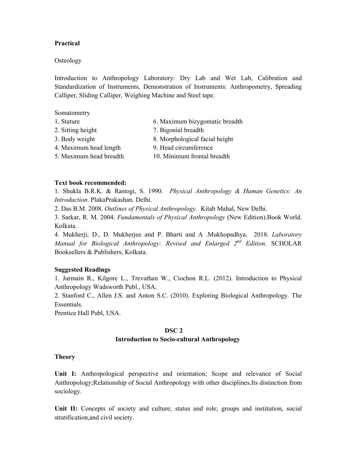#### **Practical**

#### **Osteology**

Introduction to Anthropology Laboratory: Dry Lab and Wet Lab, Calibration and Standardization of Instruments, Demonstration of Instruments: Anthropometry, Spreading Calliper, Sliding Calliper, Weighing Machine and Steel tape.

Somatometry

- 1. Stature 6. Maximum bizygomatic breadth
- 2. Sitting height 7. Bigonial breadth
- 
- 3. Body weight 8. Morphological facial height
- 4. Maximum head length 9. Head circumference
- 5. Maximum head breadth 10. Minimum frontal breadth

#### **Text book recommended:**

1. Shukla B.R.K. & Rastogi, S. 1990. *Physical Anthropology & Human Genetics: An Introduction*. PlakaPrakashan. Delhi.

2. Das B.M. 2008. *Outlines of Physical Anthropology*. Kitab Mahal, New Delhi.

3. Sarkar, R. M. 2004. *Fundamentals of Physical Anthropology* (New Edition).Book World. Kolkata.

4. Mukherji, D., D. Mukherjee and P. Bharti and A .Mukhopadhya. 2018. *Laboratory Manual for Biological Anthropology: Revised and Enlarged 2nd Edition*. SCHOLAR Booksellers & Publishers, Kolkata.

#### **Suggested Readings**

1. Jurmain R., Kilgore L., Trevathan W., Ciochon R.L. (2012). Introduction to Physical Anthropology Wadsworth Publ., USA.

2. Stanford C., Allen J.S. and Anton S.C. (2010). Exploring Biological Anthropology. The Essentials.

Prentice Hall Publ, USA.

#### **DSC 2 Introduction to Socio-cultural Anthropology**

#### **Theory**

**Unit I:** Anthropological perspective and orientation; Scope and relevance of Social Anthropology;Relationship of Social Anthropology with other disciplines.Its distinction from sociology.

Unit II: Concepts of society and culture; status and role; groups and institution, social stratification,and civil society.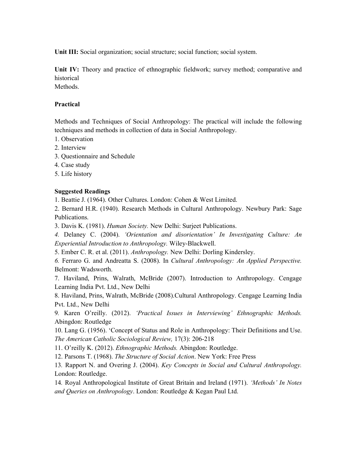**Unit III:** Social organization; social structure; social function; social system.

**Unit IV:** Theory and practice of ethnographic fieldwork; survey method; comparative and historical

**Methods** 

#### **Practical**

Methods and Techniques of Social Anthropology: The practical will include the following techniques and methods in collection of data in Social Anthropology.

- 1. Observation
- 2. Interview
- 3. Questionnaire and Schedule
- 4. Case study
- 5. Life history

## **Suggested Readings**

1. Beattie J. (1964). Other Cultures. London: Cohen & West Limited.

2. Bernard H.R. (1940). Research Methods in Cultural Anthropology. Newbury Park: Sage Publications.

3. Davis K. (1981). *Human Society.* New Delhi: Surjeet Publications.

*4.* Delaney C. (2004). *'Orientation and disorientation' In Investigating Culture: An Experiential Introduction to Anthropology.* Wiley-Blackwell.

5. Ember C. R. et al. (2011). *Anthropology.* New Delhi: Dorling Kindersley.

*6.* Ferraro G. and Andreatta S. (2008). In *Cultural Anthropology: An Applied Perspective.*  Belmont: Wadsworth.

7. Haviland, Prins, Walrath, McBride (2007). Introduction to Anthropology. Cengage Learning India Pvt. Ltd., New Delhi

8. Haviland, Prins, Walrath, McBride (2008).Cultural Anthropology. Cengage Learning India Pvt. Ltd., New Delhi

9*.* Karen O'reilly. (2012). *'Practical Issues in Interviewing' Ethnographic Methods.*  Abingdon: Routledge

10. Lang G. (1956). 'Concept of Status and Role in Anthropology: Their Definitions and Use. *The American Catholic Sociological Review,* 17(3): 206-218

11. O'reilly K. (2012). *Ethnographic Methods.* Abingdon: Routledge.

12. Parsons T. (1968). *The Structure of Social Action*. New York: Free Press

13*.* Rapport N. and Overing J. (2004). *Key Concepts in Social and Cultural Anthropology.*  London: Routledge.

14*.* Royal Anthropological Institute of Great Britain and Ireland (1971). *'Methods' In Notes and Queries on Anthropology*. London: Routledge & Kegan Paul Ltd.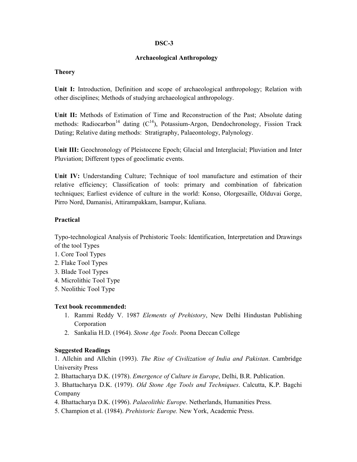#### **DSC-3**

## **Archaeological Anthropology**

#### **Theory**

**Unit I:** Introduction, Definition and scope of archaeological anthropology; Relation with other disciplines; Methods of studying archaeological anthropology.

**Unit II:** Methods of Estimation of Time and Reconstruction of the Past; Absolute dating methods: Radiocarbon<sup>14</sup> dating  $(C^{14})$ , Potassium-Argon, Dendochronology, Fission Track Dating; Relative dating methods: Stratigraphy, Palaeontology, Palynology.

**Unit III:** Geochronology of Pleistocene Epoch; Glacial and Interglacial; Pluviation and Inter Pluviation; Different types of geoclimatic events.

**Unit IV:** Understanding Culture; Technique of tool manufacture and estimation of their relative efficiency; Classification of tools: primary and combination of fabrication techniques; Earliest evidence of culture in the world: Konso, Olorgesaille, Olduvai Gorge, Pirro Nord, Damanisi, Attirampakkam, Isampur, Kuliana.

## **Practical**

Typo-technological Analysis of Prehistoric Tools: Identification, Interpretation and Drawings of the tool Types

- 1. Core Tool Types
- 2. Flake Tool Types
- 3. Blade Tool Types
- 4. Microlithic Tool Type
- 5. Neolithic Tool Type

## **Text book recommended:**

- 1. Rammi Reddy V. 1987 *Elements of Prehistory*, New Delhi Hindustan Publishing Corporation
- 2. Sankalia H.D. (1964). *Stone Age Tools.* Poona Deccan College

## **Suggested Readings**

1. Allchin and Allchin (1993). *The Rise of Civilization of India and Pakistan*. Cambridge University Press

2. Bhattacharya D.K. (1978). *Emergence of Culture in Europe*, Delhi, B.R. Publication.

3. Bhattacharya D.K. (1979). *Old Stone Age Tools and Techniques*. Calcutta, K.P. Bagchi Company

- 4. Bhattacharya D.K. (1996). *Palaeolithic Europe*. Netherlands, Humanities Press.
- 5. Champion et al. (1984). *Prehistoric Europe.* New York, Academic Press.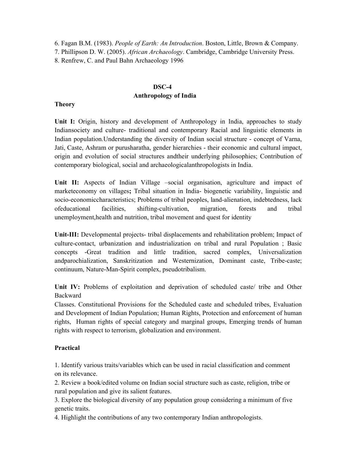6. Fagan B.M. (1983). *People of Earth: An Introduction*. Boston, Little, Brown & Company.

7. Phillipson D. W. (2005). *African Archaeology*. Cambridge, Cambridge University Press.

8. Renfrew, C. and Paul Bahn Archaeology 1996

## **DSC-4 Anthropology of India**

#### **Theory**

Unit I: Origin, history and development of Anthropology in India, approaches to study Indiansociety and culture- traditional and contemporary Racial and linguistic elements in Indian population.Understanding the diversity of Indian social structure - concept of Varna, Jati, Caste, Ashram or purusharatha, gender hierarchies - their economic and cultural impact, origin and evolution of social structures andtheir underlying philosophies; Contribution of contemporary biological, social and archaeologicalanthropologists in India.

Unit II: Aspects of Indian Village –social organisation, agriculture and impact of marketeconomy on villages**;** Tribal situation in India- biogenetic variability, linguistic and socio-economiccharacteristics; Problems of tribal peoples, land-alienation, indebtedness, lack ofeducational facilities, shifting-cultivation, migration, forests and tribal unemployment,health and nutrition, tribal movement and quest for identity

**Unit-III:** Developmental projects- tribal displacements and rehabilitation problem; Impact of culture-contact, urbanization and industrialization on tribal and rural Population ; Basic concepts -Great tradition and little tradition, sacred complex, Universalization andparochialization, Sanskritization and Westernization, Dominant caste, Tribe-caste; continuum, Nature-Man-Spirit complex, pseudotribalism.

**Unit IV:** Problems of exploitation and deprivation of scheduled caste/ tribe and Other Backward

Classes. Constitutional Provisions for the Scheduled caste and scheduled tribes, Evaluation and Development of Indian Population; Human Rights, Protection and enforcement of human rights, Human rights of special category and marginal groups, Emerging trends of human rights with respect to terrorism, globalization and environment.

# **Practical**

1. Identify various traits/variables which can be used in racial classification and comment on its relevance.

2. Review a book/edited volume on Indian social structure such as caste, religion, tribe or rural population and give its salient features.

3. Explore the biological diversity of any population group considering a minimum of five genetic traits.

4. Highlight the contributions of any two contemporary Indian anthropologists.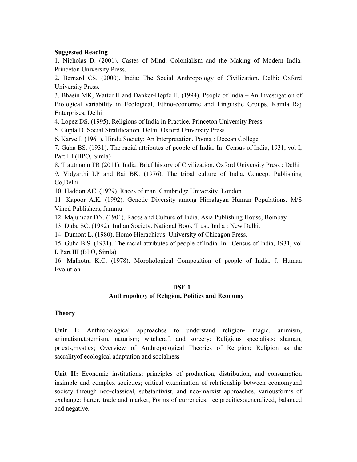#### **Suggested Reading**

1. Nicholas D. (2001). Castes of Mind: Colonialism and the Making of Modern India. Princeton University Press.

2. Bernard CS. (2000). India: The Social Anthropology of Civilization. Delhi: Oxford University Press.

3. Bhasin MK, Watter H and Danker-Hopfe H. (1994). People of India – An Investigation of Biological variability in Ecological, Ethno-economic and Linguistic Groups. Kamla Raj Enterprises, Delhi

4. Lopez DS. (1995). Religions of India in Practice. Princeton University Press

5. Gupta D. Social Stratification. Delhi: Oxford University Press.

6. Karve I. (1961). Hindu Society: An Interpretation. Poona : Deccan College

7. Guha BS. (1931). The racial attributes of people of India. In: Census of India, 1931, vol I, Part III (BPO, Simla)

8. Trautmann TR (2011). India: Brief history of Civilization. Oxford University Press : Delhi

9. Vidyarthi LP and Rai BK. (1976). The tribal culture of India. Concept Publishing Co,Delhi.

10. Haddon AC. (1929). Races of man. Cambridge University, London.

11. Kapoor A.K. (1992). Genetic Diversity among Himalayan Human Populations. M/S Vinod Publishers, Jammu

12. Majumdar DN. (1901). Races and Culture of India. Asia Publishing House, Bombay

13. Dube SC. (1992). Indian Society. National Book Trust, India : New Delhi.

14. Dumont L. (1980). Homo Hierachicus. University of Chicagon Press.

15. Guha B.S. (1931). The racial attributes of people of India. In : Census of India, 1931, vol I, Part III (BPO, Simla)

16. Malhotra K.C. (1978). Morphological Composition of people of India. J. Human Evolution

## **DSE 1**

## **Anthropology of Religion, Politics and Economy**

## **Theory**

Unit I: Anthropological approaches to understand religion- magic, animism, animatism,totemism, naturism; witchcraft and sorcery; Religious specialists: shaman, priests,mystics; Overview of Anthropological Theories of Religion; Religion as the sacralityof ecological adaptation and socialness

**Unit II:** Economic institutions: principles of production, distribution, and consumption insimple and complex societies; critical examination of relationship between economyand society through neo-classical, substantivist, and neo-marxist approaches, variousforms of exchange: barter, trade and market; Forms of currencies; reciprocities:generalized, balanced and negative.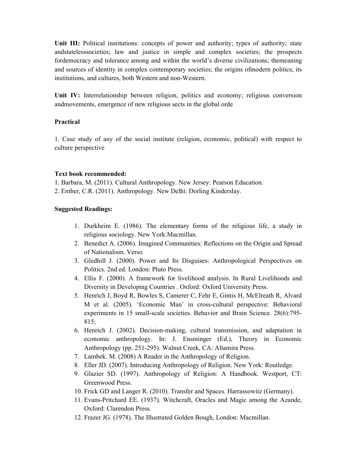Unit III: Political institutions: concepts of power and authority; types of authority; state andstatelesssocieties; law and justice in simple and complex societies; the prospects fordemocracy and tolerance among and within the world's diverse civilizations; themeaning and sources of identity in complex contemporary societies; the origins ofmodern politics, its institutions, and cultures, both Western and non-Western.

**Unit IV:** Interrelationship between religion, politics and economy; religious conversion andmovements, emergence of new religious sects in the global orde

## **Practical**

1. Case study of any of the social institute (religion, economic, political) with respect to culture perspective

#### **Text book recommended:**

1. Barbara, M. (2011). Cultural Anthropology. New Jersey: Pearson Education.

2. Ember, C.R. (2011). Anthropology. New Delhi: Dorling Kinderslay.

#### **Suggested Readings:**

- 1. Durkheim E. (1986). The elementary forms of the religious life, a study in religious sociology. New York:Macmillan.
- 2. Benedict A. (2006). Imagined Communities: Reflections on the Origin and Spread of Nationalism. Verso
- 3. Gledhill J. (2000). Power and Its Disguises: Anthropological Perspectives on Politics. 2nd ed. London: Pluto Press.
- 4. Ellis F. (2000). A framework for livelihood analysis. In Rural Livelihoods and Diversity in Developing Countries . Oxford: Oxford University Press.
- 5. Henrich J, Boyd R, Bowles S, Camerer C, Fehr E, Gintis H, McElreath R, Alvard M et al. (2005). 'Economic Man' in cross-cultural perspective: Behavioral experiments in 15 small-scale societies. Behavior and Brain Science. 28(6):795- 815;
- 6. Henrich J. (2002). Decision-making, cultural transmission, and adaptation in economic anthropology. In: J. Ensminger (Ed.), Theory in Economic Anthropology (pp. 251-295). Walnut Creek, CA: Altamira Press.
- 7. Lambek. M. (2008) A Reader in the Anthropology of Religion.
- 8. Eller JD. (2007). Introducing Anthropology of Religion. New York: Routledge.
- 9. Glazier SD. (1997). Anthropology of Religion: A Handbook. Westport, CT: Greenwood Press.
- 10. Frick GD and Langer R. (2010). Transfer and Spaces. Harrassowitz (Germany).
- 11. Evans-Pritchard EE. (1937). Witchcraft, Oracles and Magic among the Azande, Oxford: Clarendon Press.
- 12. Frazer JG. (1978). The Illustrated Golden Bough, London: Macmillan.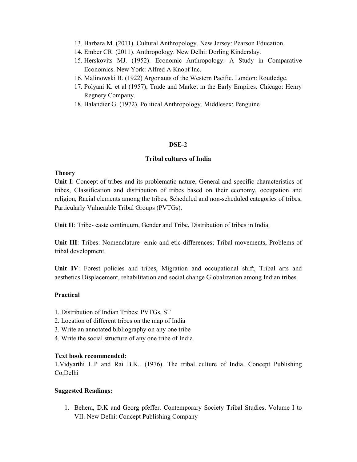- 13. Barbara M. (2011). Cultural Anthropology. New Jersey: Pearson Education.
- 14. Ember CR. (2011). Anthropology. New Delhi: Dorling Kinderslay.
- 15. Herskovits MJ. (1952). Economic Anthropology: A Study in Comparative Economics. New York: Alfred A Knopf Inc.
- 16. Malinowski B. (1922) Argonauts of the Western Pacific. London: Routledge.
- 17. Polyani K. et al (1957), Trade and Market in the Early Empires. Chicago: Henry Regnery Company.
- 18. Balandier G. (1972). Political Anthropology. Middlesex: Penguine

#### **DSE-2**

#### **Tribal cultures of India**

#### **Theory**

**Unit I**: Concept of tribes and its problematic nature, General and specific characteristics of tribes, Classification and distribution of tribes based on their economy, occupation and religion, Racial elements among the tribes, Scheduled and non-scheduled categories of tribes, Particularly Vulnerable Tribal Groups (PVTGs).

**Unit II**: Tribe- caste continuum, Gender and Tribe, Distribution of tribes in India.

**Unit III**: Tribes: Nomenclature- emic and etic differences; Tribal movements, Problems of tribal development.

**Unit IV**: Forest policies and tribes, Migration and occupational shift, Tribal arts and aesthetics Displacement, rehabilitation and social change Globalization among Indian tribes.

#### **Practical**

- 1. Distribution of Indian Tribes: PVTGs, ST
- 2. Location of different tribes on the map of India
- 3. Write an annotated bibliography on any one tribe
- 4. Write the social structure of any one tribe of India

#### **Text book recommended:**

1.Vidyarthi L.P and Rai B.K.. (1976). The tribal culture of India. Concept Publishing Co,Delhi

#### **Suggested Readings:**

1. Behera, D.K and Georg pfeffer. Contemporary Society Tribal Studies, Volume I to VII. New Delhi: Concept Publishing Company